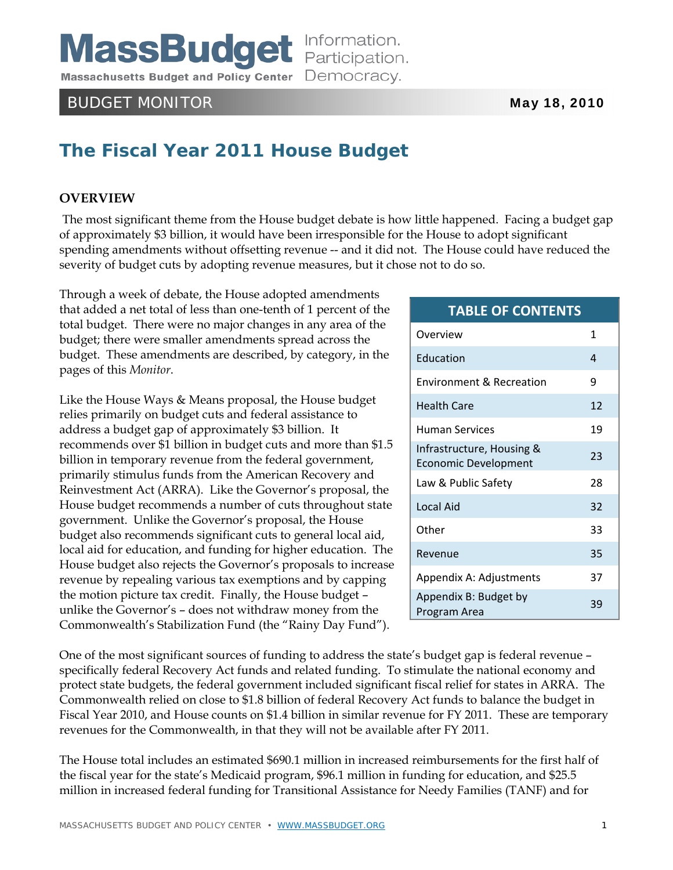**MassBudget** Information.

Massachusetts Budget and Policy Center Democracy.

# BUDGET MONITOR **May 18, 2010**

# **The Fiscal Year 2011 House Budget**

# **OVERVIEW**

 The most significant theme from the House budget debate is how little happened. Facing a budget gap of approximately \$3 billion, it would have been irresponsible for the House to adopt significant spending amendments without offsetting revenue -- and it did not. The House could have reduced the severity of budget cuts by adopting revenue measures, but it chose not to do so.

Through a week of debate, the House adopted amendments that added a net total of less than one-tenth of 1 percent of the total budget. There were no major changes in any area of the budget; there were smaller amendments spread across the budget. These amendments are described, by category, in the pages of this *Monitor*.

Like the House Ways & Means proposal, the House budget relies primarily on budget cuts and federal assistance to address a budget gap of approximately \$3 billion. It recommends over \$1 billion in budget cuts and more than \$1.5 billion in temporary revenue from the federal government, primarily stimulus funds from the American Recovery and Reinvestment Act (ARRA). Like the Governor's proposal, the House budget recommends a number of cuts throughout state government. Unlike the Governor's proposal, the House budget also recommends significant cuts to general local aid, local aid for education, and funding for higher education. The House budget also rejects the Governor's proposals to increase revenue by repealing various tax exemptions and by capping the motion picture tax credit. Finally, the House budget – unlike the Governor's – does not withdraw money from the Commonwealth's Stabilization Fund (the "Rainy Day Fund").

## **TABLE OF CONTENTS**

| Overview                                                 | 1  |
|----------------------------------------------------------|----|
| <b>Education</b>                                         | 4  |
| <b>Environment &amp; Recreation</b>                      | ٩  |
| <b>Health Care</b>                                       | 12 |
| Human Services                                           | 19 |
| Infrastructure, Housing &<br><b>Economic Development</b> | 23 |
| Law & Public Safety                                      | 28 |
| Local Aid                                                | 32 |
| Other                                                    | 33 |
| Revenue                                                  | 35 |
| Appendix A: Adjustments                                  | 37 |
| Appendix B: Budget by<br>Program Area                    | 39 |

One of the most significant sources of funding to address the state's budget gap is federal revenue – specifically federal Recovery Act funds and related funding. To stimulate the national economy and protect state budgets, the federal government included significant fiscal relief for states in ARRA. The Commonwealth relied on close to \$1.8 billion of federal Recovery Act funds to balance the budget in Fiscal Year 2010, and House counts on \$1.4 billion in similar revenue for FY 2011. These are temporary revenues for the Commonwealth, in that they will not be available after FY 2011.

The House total includes an estimated \$690.1 million in increased reimbursements for the first half of the fiscal year for the state's Medicaid program, \$96.1 million in funding for education, and \$25.5 million in increased federal funding for Transitional Assistance for Needy Families (TANF) and for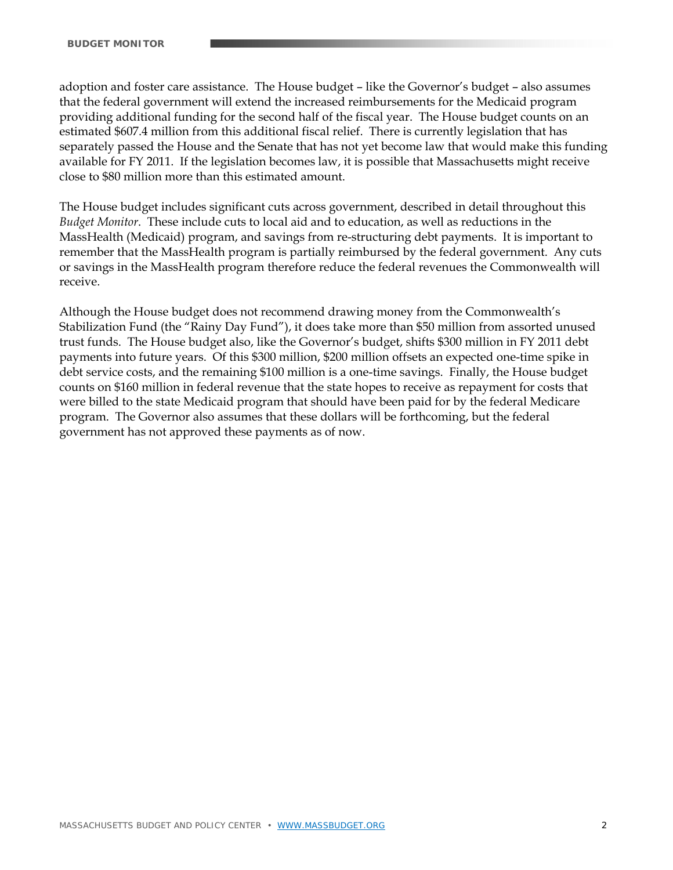adoption and foster care assistance. The House budget – like the Governor's budget – also assumes that the federal government will extend the increased reimbursements for the Medicaid program providing additional funding for the second half of the fiscal year. The House budget counts on an estimated \$607.4 million from this additional fiscal relief. There is currently legislation that has separately passed the House and the Senate that has not yet become law that would make this funding available for FY 2011. If the legislation becomes law, it is possible that Massachusetts might receive close to \$80 million more than this estimated amount.

The House budget includes significant cuts across government, described in detail throughout this *Budget Monitor*. These include cuts to local aid and to education, as well as reductions in the MassHealth (Medicaid) program, and savings from re-structuring debt payments. It is important to remember that the MassHealth program is partially reimbursed by the federal government. Any cuts or savings in the MassHealth program therefore reduce the federal revenues the Commonwealth will receive.

Although the House budget does not recommend drawing money from the Commonwealth's Stabilization Fund (the "Rainy Day Fund"), it does take more than \$50 million from assorted unused trust funds. The House budget also, like the Governor's budget, shifts \$300 million in FY 2011 debt payments into future years. Of this \$300 million, \$200 million offsets an expected one-time spike in debt service costs, and the remaining \$100 million is a one-time savings. Finally, the House budget counts on \$160 million in federal revenue that the state hopes to receive as repayment for costs that were billed to the state Medicaid program that should have been paid for by the federal Medicare program. The Governor also assumes that these dollars will be forthcoming, but the federal government has not approved these payments as of now.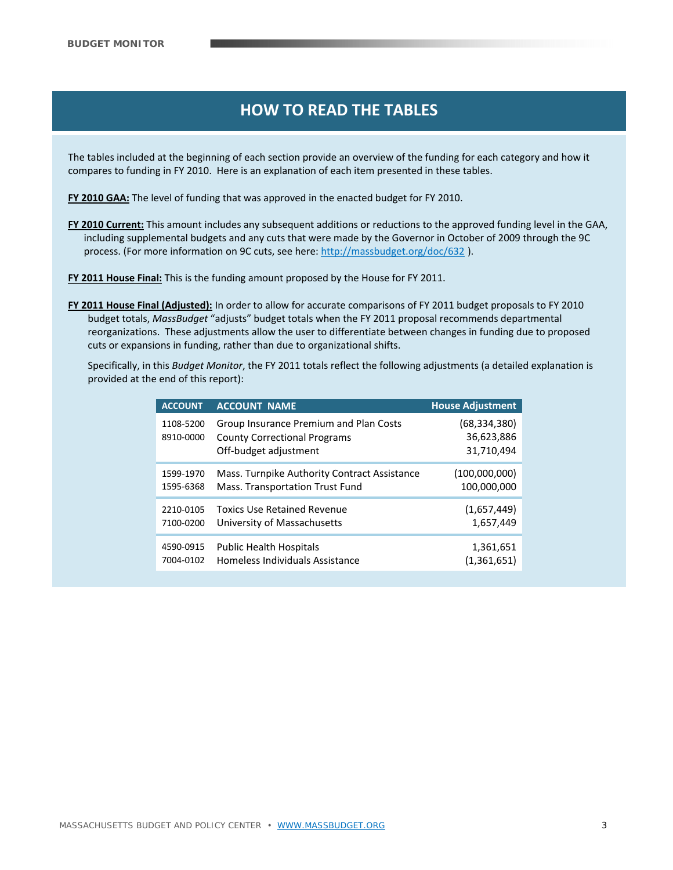# **HOW TO READ THE TABLES HOW TO READ THE TABLES HOW TO READ THE TABLES**

The tables included at the beginning of each section provide an overview of the funding for each category and how it compares to funding in FY 2010. Here is an explanation of each item presented in these tables.

**FY 2010 GAA:** The level of funding that was approved in the enacted budget for FY 2010.

- **FY 2010 Current:** This amount includes any subsequent additions or reductions to the approved funding level in the GAA, including supplemental budgets and any cuts that were made by the Governor in October of 2009 through the 9C process. (For more information on 9C cuts, see here: http://massbudget.org/doc/632 ).
- **FY 2011 House Final:** This is the funding amount proposed by the House for FY 2011.
- **FY 2011 House Final (Adjusted):** In order to allow for accurate comparisons of FY 2011 budget proposals to FY 2010 budget totals, *MassBudget* "adjusts" budget totals when the FY 2011 proposal recommends departmental reorganizations. These adjustments allow the user to differentiate between changes in funding due to proposed cuts or expansions in funding, rather than due to organizational shifts.

Specifically, in this *Budget Monitor*, the FY 2011 totals reflect the following adjustments (a detailed explanation is provided at the end of this report):

| <b>ACCOUNT</b>         | <b>ACCOUNT NAME</b>                                                                                    | <b>House Adjustment</b>                    |
|------------------------|--------------------------------------------------------------------------------------------------------|--------------------------------------------|
| 1108-5200<br>8910-0000 | Group Insurance Premium and Plan Costs<br><b>County Correctional Programs</b><br>Off-budget adjustment | (68, 334, 380)<br>36,623,886<br>31,710,494 |
| 1599-1970              | Mass. Turnpike Authority Contract Assistance                                                           | (100,000,000)                              |
| 1595-6368              | Mass. Transportation Trust Fund                                                                        | 100,000,000                                |
| 2210-0105              | <b>Toxics Use Retained Revenue</b>                                                                     | (1,657,449)                                |
| 7100-0200              | University of Massachusetts                                                                            | 1,657,449                                  |
| 4590-0915              | <b>Public Health Hospitals</b>                                                                         | 1,361,651                                  |
| 7004-0102              | Homeless Individuals Assistance                                                                        | (1,361,651)                                |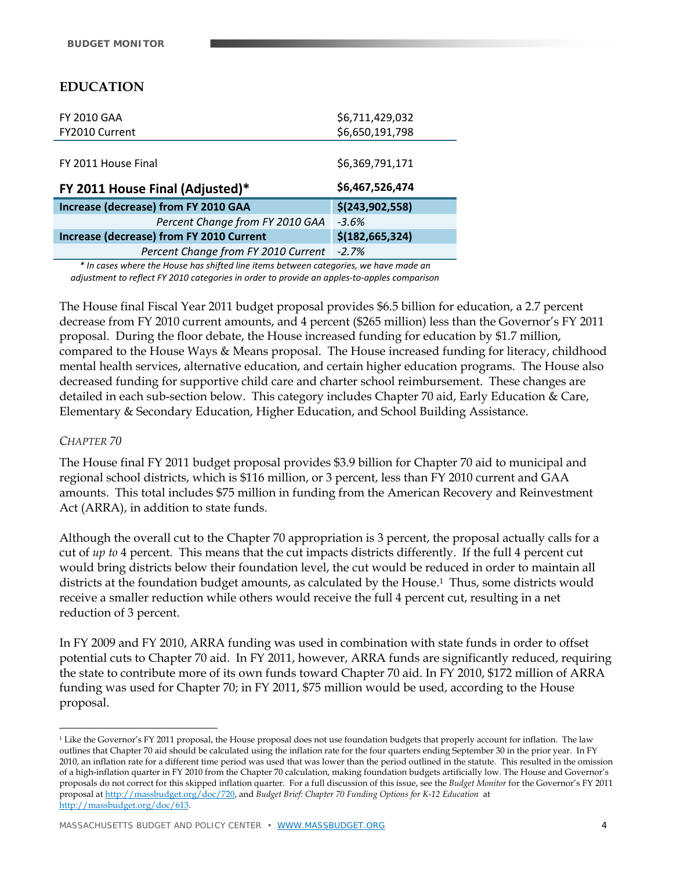# **EDUCATION**

| <b>FY 2010 GAA</b>                       | \$6,711,429,032   |
|------------------------------------------|-------------------|
| FY2010 Current                           | \$6,650,191,798   |
|                                          |                   |
| FY 2011 House Final                      | \$6,369,791,171   |
| FY 2011 House Final (Adjusted)*          | \$6,467,526,474   |
| Increase (decrease) from FY 2010 GAA     | \$(243,902,558)   |
| Percent Change from FY 2010 GAA          | $-3.6%$           |
| Increase (decrease) from FY 2010 Current | \$(182, 665, 324) |
| Percent Change from FY 2010 Current      | $-2.7%$           |

*\* In cases where the House has shifted line items between categories, we have made an adjustment to reflect FY 2010 categories in order to provide an apples‐to‐apples comparison*

The House final Fiscal Year 2011 budget proposal provides \$6.5 billion for education, a 2.7 percent decrease from FY 2010 current amounts, and 4 percent (\$265 million) less than the Governor's FY 2011 proposal. During the floor debate, the House increased funding for education by \$1.7 million, compared to the House Ways & Means proposal. The House increased funding for literacy, childhood mental health services, alternative education, and certain higher education programs. The House also decreased funding for supportive child care and charter school reimbursement. These changes are detailed in each sub-section below. This category includes Chapter 70 aid, Early Education & Care, Elementary & Secondary Education, Higher Education, and School Building Assistance.

#### *CHAPTER 70*

 $\overline{a}$ 

The House final FY 2011 budget proposal provides \$3.9 billion for Chapter 70 aid to municipal and regional school districts, which is \$116 million, or 3 percent, less than FY 2010 current and GAA amounts. This total includes \$75 million in funding from the American Recovery and Reinvestment Act (ARRA), in addition to state funds.

Although the overall cut to the Chapter 70 appropriation is 3 percent, the proposal actually calls for a cut of *up to* 4 percent. This means that the cut impacts districts differently. If the full 4 percent cut would bring districts below their foundation level, the cut would be reduced in order to maintain all districts at the foundation budget amounts, as calculated by the House.<sup>1</sup> Thus, some districts would receive a smaller reduction while others would receive the full 4 percent cut, resulting in a net reduction of 3 percent.

In FY 2009 and FY 2010, ARRA funding was used in combination with state funds in order to offset potential cuts to Chapter 70 aid. In FY 2011, however, ARRA funds are significantly reduced, requiring the state to contribute more of its own funds toward Chapter 70 aid. In FY 2010, \$172 million of ARRA funding was used for Chapter 70; in FY 2011, \$75 million would be used, according to the House proposal.

<sup>&</sup>lt;sup>1</sup> Like the Governor's FY 2011 proposal, the House proposal does not use foundation budgets that properly account for inflation. The law outlines that Chapter 70 aid should be calculated using the inflation rate for the four quarters ending September 30 in the prior year. In FY 2010, an inflation rate for a different time period was used that was lower than the period outlined in the statute. This resulted in the omission of a high-inflation quarter in FY 2010 from the Chapter 70 calculation, making foundation budgets artificially low. The House and Governor's proposals do not correct for this skipped inflation quarter. For a full discussion of this issue, see the *Budget Monitor* for the Governor's FY 2011 proposal at http://massbudget.org/doc/720, and *Budget Brief: Chapter 70 Funding Options for K-12 Education* at http://massbudget.org/doc/613.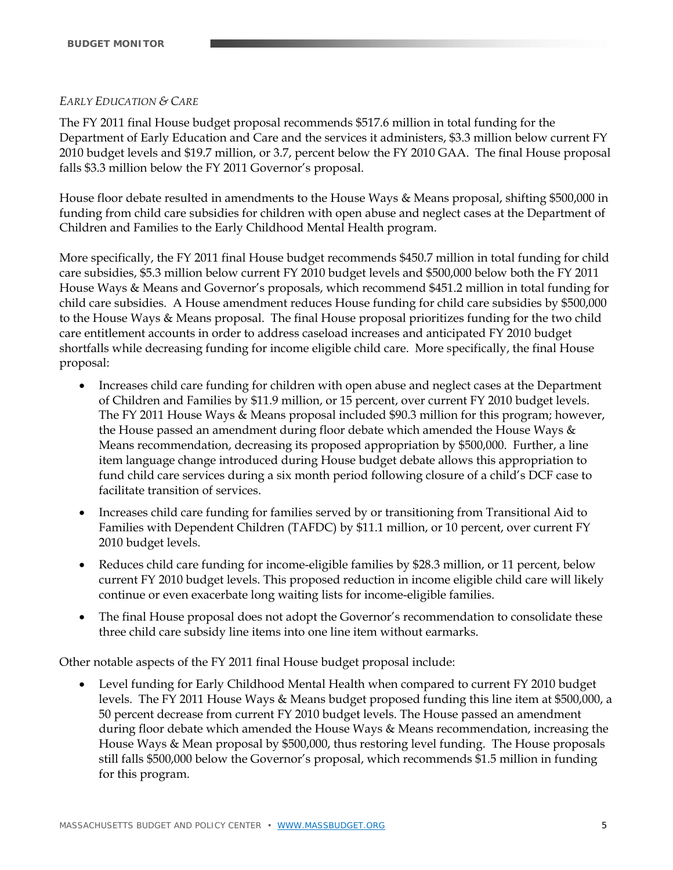#### *EARLY EDUCATION & CARE*

The FY 2011 final House budget proposal recommends \$517.6 million in total funding for the Department of Early Education and Care and the services it administers, \$3.3 million below current FY 2010 budget levels and \$19.7 million, or 3.7, percent below the FY 2010 GAA. The final House proposal falls \$3.3 million below the FY 2011 Governor's proposal.

House floor debate resulted in amendments to the House Ways & Means proposal, shifting \$500,000 in funding from child care subsidies for children with open abuse and neglect cases at the Department of Children and Families to the Early Childhood Mental Health program.

More specifically, the FY 2011 final House budget recommends \$450.7 million in total funding for child care subsidies, \$5.3 million below current FY 2010 budget levels and \$500,000 below both the FY 2011 House Ways & Means and Governor's proposals, which recommend \$451.2 million in total funding for child care subsidies. A House amendment reduces House funding for child care subsidies by \$500,000 to the House Ways & Means proposal. The final House proposal prioritizes funding for the two child care entitlement accounts in order to address caseload increases and anticipated FY 2010 budget shortfalls while decreasing funding for income eligible child care. More specifically, the final House proposal:

- Increases child care funding for children with open abuse and neglect cases at the Department of Children and Families by \$11.9 million, or 15 percent, over current FY 2010 budget levels. The FY 2011 House Ways & Means proposal included \$90.3 million for this program; however, the House passed an amendment during floor debate which amended the House Ways & Means recommendation, decreasing its proposed appropriation by \$500,000. Further, a line item language change introduced during House budget debate allows this appropriation to fund child care services during a six month period following closure of a child's DCF case to facilitate transition of services.
- Increases child care funding for families served by or transitioning from Transitional Aid to Families with Dependent Children (TAFDC) by \$11.1 million, or 10 percent, over current FY 2010 budget levels.
- Reduces child care funding for income-eligible families by \$28.3 million, or 11 percent, below current FY 2010 budget levels. This proposed reduction in income eligible child care will likely continue or even exacerbate long waiting lists for income-eligible families.
- The final House proposal does not adopt the Governor's recommendation to consolidate these three child care subsidy line items into one line item without earmarks.

Other notable aspects of the FY 2011 final House budget proposal include:

 Level funding for Early Childhood Mental Health when compared to current FY 2010 budget levels. The FY 2011 House Ways & Means budget proposed funding this line item at \$500,000, a 50 percent decrease from current FY 2010 budget levels. The House passed an amendment during floor debate which amended the House Ways & Means recommendation, increasing the House Ways & Mean proposal by \$500,000, thus restoring level funding. The House proposals still falls \$500,000 below the Governor's proposal, which recommends \$1.5 million in funding for this program.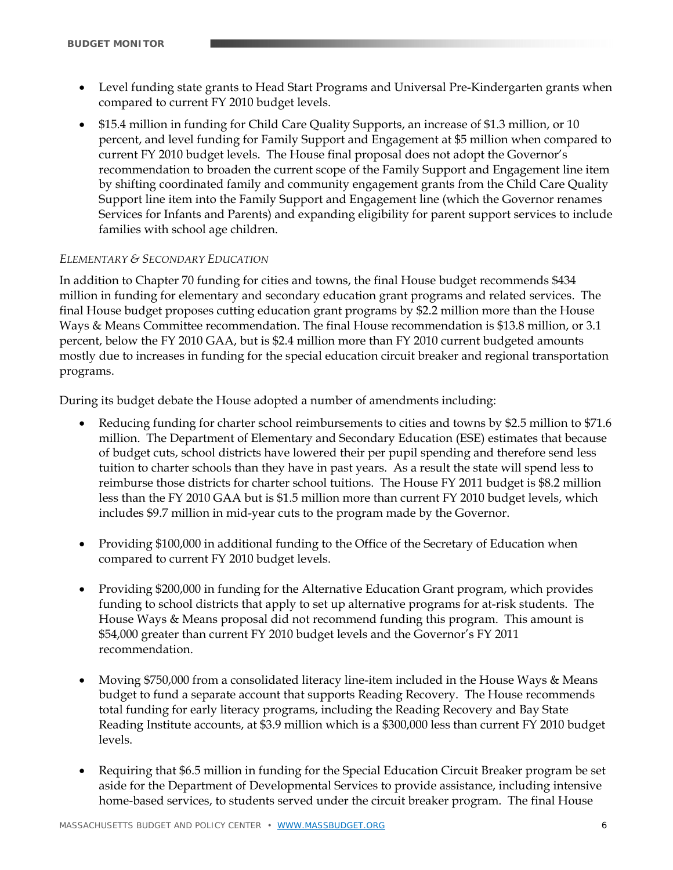- Level funding state grants to Head Start Programs and Universal Pre-Kindergarten grants when compared to current FY 2010 budget levels.
- \$15.4 million in funding for Child Care Quality Supports, an increase of \$1.3 million, or 10 percent, and level funding for Family Support and Engagement at \$5 million when compared to current FY 2010 budget levels. The House final proposal does not adopt the Governor's recommendation to broaden the current scope of the Family Support and Engagement line item by shifting coordinated family and community engagement grants from the Child Care Quality Support line item into the Family Support and Engagement line (which the Governor renames Services for Infants and Parents) and expanding eligibility for parent support services to include families with school age children.

#### *ELEMENTARY & SECONDARY EDUCATION*

In addition to Chapter 70 funding for cities and towns, the final House budget recommends \$434 million in funding for elementary and secondary education grant programs and related services. The final House budget proposes cutting education grant programs by \$2.2 million more than the House Ways & Means Committee recommendation. The final House recommendation is \$13.8 million, or 3.1 percent, below the FY 2010 GAA, but is \$2.4 million more than FY 2010 current budgeted amounts mostly due to increases in funding for the special education circuit breaker and regional transportation programs.

During its budget debate the House adopted a number of amendments including:

- Reducing funding for charter school reimbursements to cities and towns by \$2.5 million to \$71.6 million. The Department of Elementary and Secondary Education (ESE) estimates that because of budget cuts, school districts have lowered their per pupil spending and therefore send less tuition to charter schools than they have in past years. As a result the state will spend less to reimburse those districts for charter school tuitions. The House FY 2011 budget is \$8.2 million less than the FY 2010 GAA but is \$1.5 million more than current FY 2010 budget levels, which includes \$9.7 million in mid-year cuts to the program made by the Governor.
- Providing \$100,000 in additional funding to the Office of the Secretary of Education when compared to current FY 2010 budget levels.
- Providing \$200,000 in funding for the Alternative Education Grant program, which provides funding to school districts that apply to set up alternative programs for at-risk students. The House Ways & Means proposal did not recommend funding this program. This amount is \$54,000 greater than current FY 2010 budget levels and the Governor's FY 2011 recommendation.
- Moving \$750,000 from a consolidated literacy line-item included in the House Ways & Means budget to fund a separate account that supports Reading Recovery. The House recommends total funding for early literacy programs, including the Reading Recovery and Bay State Reading Institute accounts, at \$3.9 million which is a \$300,000 less than current FY 2010 budget levels.
- Requiring that \$6.5 million in funding for the Special Education Circuit Breaker program be set aside for the Department of Developmental Services to provide assistance, including intensive home-based services, to students served under the circuit breaker program. The final House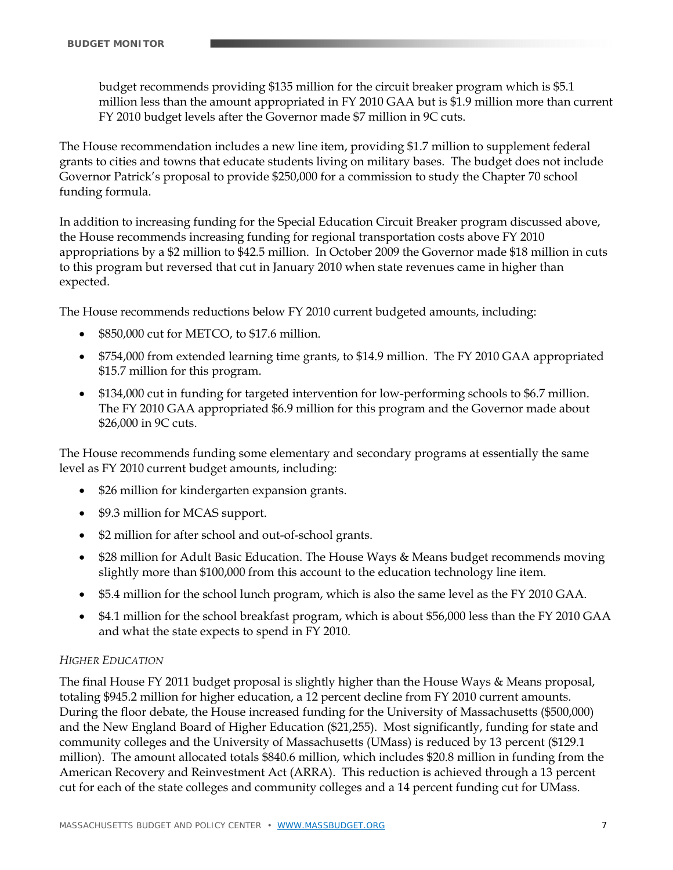budget recommends providing \$135 million for the circuit breaker program which is \$5.1 million less than the amount appropriated in FY 2010 GAA but is \$1.9 million more than current FY 2010 budget levels after the Governor made \$7 million in 9C cuts.

The House recommendation includes a new line item, providing \$1.7 million to supplement federal grants to cities and towns that educate students living on military bases. The budget does not include Governor Patrick's proposal to provide \$250,000 for a commission to study the Chapter 70 school funding formula.

In addition to increasing funding for the Special Education Circuit Breaker program discussed above, the House recommends increasing funding for regional transportation costs above FY 2010 appropriations by a \$2 million to \$42.5 million. In October 2009 the Governor made \$18 million in cuts to this program but reversed that cut in January 2010 when state revenues came in higher than expected.

The House recommends reductions below FY 2010 current budgeted amounts, including:

- \$850,000 cut for METCO, to \$17.6 million.
- \$754,000 from extended learning time grants, to \$14.9 million. The FY 2010 GAA appropriated \$15.7 million for this program.
- \$134,000 cut in funding for targeted intervention for low-performing schools to \$6.7 million. The FY 2010 GAA appropriated \$6.9 million for this program and the Governor made about \$26,000 in 9C cuts.

The House recommends funding some elementary and secondary programs at essentially the same level as FY 2010 current budget amounts, including:

- \$26 million for kindergarten expansion grants.
- \$9.3 million for MCAS support.
- \$2 million for after school and out-of-school grants.
- \$28 million for Adult Basic Education. The House Ways & Means budget recommends moving slightly more than \$100,000 from this account to the education technology line item.
- \$5.4 million for the school lunch program, which is also the same level as the FY 2010 GAA.
- \$4.1 million for the school breakfast program, which is about \$56,000 less than the FY 2010 GAA and what the state expects to spend in FY 2010.

#### *HIGHER EDUCATION*

The final House FY 2011 budget proposal is slightly higher than the House Ways & Means proposal, totaling \$945.2 million for higher education, a 12 percent decline from FY 2010 current amounts. During the floor debate, the House increased funding for the University of Massachusetts (\$500,000) and the New England Board of Higher Education (\$21,255). Most significantly, funding for state and community colleges and the University of Massachusetts (UMass) is reduced by 13 percent (\$129.1 million). The amount allocated totals \$840.6 million, which includes \$20.8 million in funding from the American Recovery and Reinvestment Act (ARRA). This reduction is achieved through a 13 percent cut for each of the state colleges and community colleges and a 14 percent funding cut for UMass.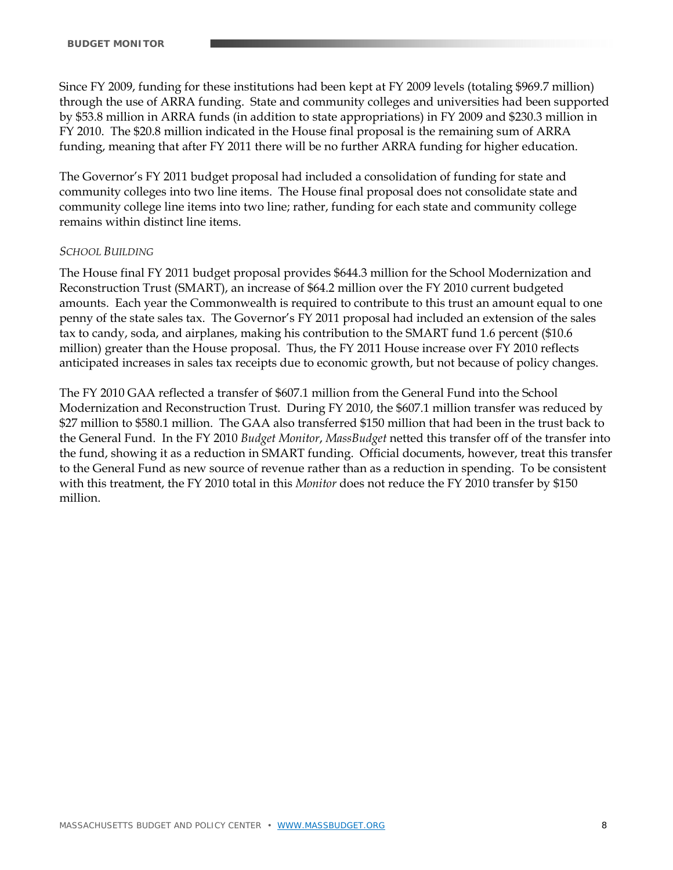Since FY 2009, funding for these institutions had been kept at FY 2009 levels (totaling \$969.7 million) through the use of ARRA funding. State and community colleges and universities had been supported by \$53.8 million in ARRA funds (in addition to state appropriations) in FY 2009 and \$230.3 million in FY 2010. The \$20.8 million indicated in the House final proposal is the remaining sum of ARRA funding, meaning that after FY 2011 there will be no further ARRA funding for higher education.

The Governor's FY 2011 budget proposal had included a consolidation of funding for state and community colleges into two line items. The House final proposal does not consolidate state and community college line items into two line; rather, funding for each state and community college remains within distinct line items.

#### *SCHOOL BUILDING*

The House final FY 2011 budget proposal provides \$644.3 million for the School Modernization and Reconstruction Trust (SMART), an increase of \$64.2 million over the FY 2010 current budgeted amounts. Each year the Commonwealth is required to contribute to this trust an amount equal to one penny of the state sales tax. The Governor's FY 2011 proposal had included an extension of the sales tax to candy, soda, and airplanes, making his contribution to the SMART fund 1.6 percent (\$10.6 million) greater than the House proposal. Thus, the FY 2011 House increase over FY 2010 reflects anticipated increases in sales tax receipts due to economic growth, but not because of policy changes.

The FY 2010 GAA reflected a transfer of \$607.1 million from the General Fund into the School Modernization and Reconstruction Trust. During FY 2010, the \$607.1 million transfer was reduced by \$27 million to \$580.1 million. The GAA also transferred \$150 million that had been in the trust back to the General Fund. In the FY 2010 *Budget Monitor*, *MassBudget* netted this transfer off of the transfer into the fund, showing it as a reduction in SMART funding. Official documents, however, treat this transfer to the General Fund as new source of revenue rather than as a reduction in spending. To be consistent with this treatment, the FY 2010 total in this *Monitor* does not reduce the FY 2010 transfer by \$150 million.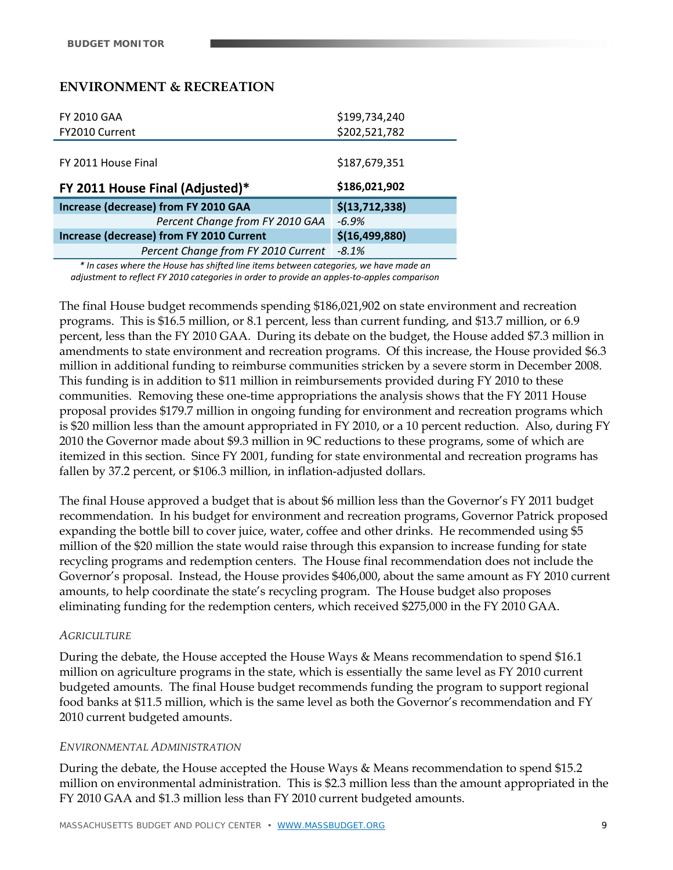## **ENVIRONMENT & RECREATION**

| <b>FY 2010 GAA</b>                       | \$199,734,240    |
|------------------------------------------|------------------|
| FY2010 Current                           | \$202,521,782    |
|                                          |                  |
| FY 2011 House Final                      | \$187,679,351    |
|                                          |                  |
| FY 2011 House Final (Adjusted)*          | \$186,021,902    |
| Increase (decrease) from FY 2010 GAA     | \$(13, 712, 338) |
| Percent Change from FY 2010 GAA          | $-6.9%$          |
| Increase (decrease) from FY 2010 Current | \$(16, 499, 880) |
| Percent Change from FY 2010 Current      | $-8.1%$          |

*\* In cases where the House has shifted line items between categories, we have made an adjustment to reflect FY 2010 categories in order to provide an apples‐to‐apples comparison*

The final House budget recommends spending \$186,021,902 on state environment and recreation programs. This is \$16.5 million, or 8.1 percent, less than current funding, and \$13.7 million, or 6.9 percent, less than the FY 2010 GAA. During its debate on the budget, the House added \$7.3 million in amendments to state environment and recreation programs. Of this increase, the House provided \$6.3 million in additional funding to reimburse communities stricken by a severe storm in December 2008. This funding is in addition to \$11 million in reimbursements provided during FY 2010 to these communities. Removing these one-time appropriations the analysis shows that the FY 2011 House proposal provides \$179.7 million in ongoing funding for environment and recreation programs which is \$20 million less than the amount appropriated in FY 2010, or a 10 percent reduction. Also, during FY 2010 the Governor made about \$9.3 million in 9C reductions to these programs, some of which are itemized in this section. Since FY 2001, funding for state environmental and recreation programs has fallen by 37.2 percent, or \$106.3 million, in inflation-adjusted dollars.

The final House approved a budget that is about \$6 million less than the Governor's FY 2011 budget recommendation. In his budget for environment and recreation programs, Governor Patrick proposed expanding the bottle bill to cover juice, water, coffee and other drinks. He recommended using \$5 million of the \$20 million the state would raise through this expansion to increase funding for state recycling programs and redemption centers. The House final recommendation does not include the Governor's proposal. Instead, the House provides \$406,000, about the same amount as FY 2010 current amounts, to help coordinate the state's recycling program. The House budget also proposes eliminating funding for the redemption centers, which received \$275,000 in the FY 2010 GAA.

#### *AGRICULTURE*

During the debate, the House accepted the House Ways & Means recommendation to spend \$16.1 million on agriculture programs in the state, which is essentially the same level as FY 2010 current budgeted amounts. The final House budget recommends funding the program to support regional food banks at \$11.5 million, which is the same level as both the Governor's recommendation and FY 2010 current budgeted amounts.

#### *ENVIRONMENTAL ADMINISTRATION*

During the debate, the House accepted the House Ways & Means recommendation to spend \$15.2 million on environmental administration. This is \$2.3 million less than the amount appropriated in the FY 2010 GAA and \$1.3 million less than FY 2010 current budgeted amounts.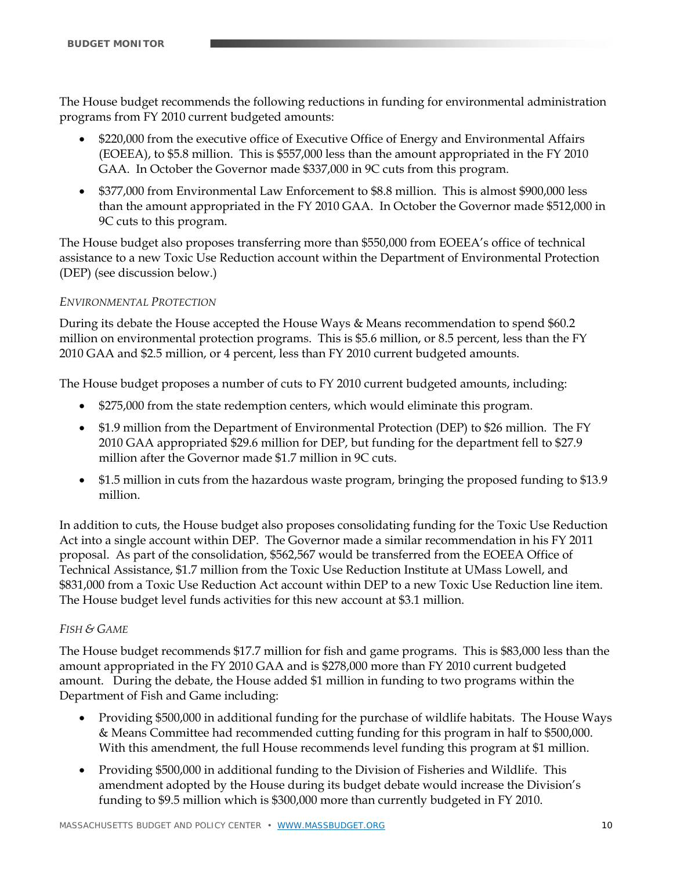The House budget recommends the following reductions in funding for environmental administration programs from FY 2010 current budgeted amounts:

- \$220,000 from the executive office of Executive Office of Energy and Environmental Affairs (EOEEA), to \$5.8 million. This is \$557,000 less than the amount appropriated in the FY 2010 GAA. In October the Governor made \$337,000 in 9C cuts from this program.
- \$377,000 from Environmental Law Enforcement to \$8.8 million. This is almost \$900,000 less than the amount appropriated in the FY 2010 GAA. In October the Governor made \$512,000 in 9C cuts to this program.

The House budget also proposes transferring more than \$550,000 from EOEEA's office of technical assistance to a new Toxic Use Reduction account within the Department of Environmental Protection (DEP) (see discussion below.)

### *ENVIRONMENTAL PROTECTION*

During its debate the House accepted the House Ways & Means recommendation to spend \$60.2 million on environmental protection programs. This is \$5.6 million, or 8.5 percent, less than the FY 2010 GAA and \$2.5 million, or 4 percent, less than FY 2010 current budgeted amounts.

The House budget proposes a number of cuts to FY 2010 current budgeted amounts, including:

- \$275,000 from the state redemption centers, which would eliminate this program.
- \$1.9 million from the Department of Environmental Protection (DEP) to \$26 million. The FY 2010 GAA appropriated \$29.6 million for DEP, but funding for the department fell to \$27.9 million after the Governor made \$1.7 million in 9C cuts.
- \$1.5 million in cuts from the hazardous waste program, bringing the proposed funding to \$13.9 million.

In addition to cuts, the House budget also proposes consolidating funding for the Toxic Use Reduction Act into a single account within DEP. The Governor made a similar recommendation in his FY 2011 proposal. As part of the consolidation, \$562,567 would be transferred from the EOEEA Office of Technical Assistance, \$1.7 million from the Toxic Use Reduction Institute at UMass Lowell, and \$831,000 from a Toxic Use Reduction Act account within DEP to a new Toxic Use Reduction line item. The House budget level funds activities for this new account at \$3.1 million.

#### *FISH & GAME*

The House budget recommends \$17.7 million for fish and game programs. This is \$83,000 less than the amount appropriated in the FY 2010 GAA and is \$278,000 more than FY 2010 current budgeted amount. During the debate, the House added \$1 million in funding to two programs within the Department of Fish and Game including:

- Providing \$500,000 in additional funding for the purchase of wildlife habitats. The House Ways & Means Committee had recommended cutting funding for this program in half to \$500,000. With this amendment, the full House recommends level funding this program at \$1 million.
- Providing \$500,000 in additional funding to the Division of Fisheries and Wildlife. This amendment adopted by the House during its budget debate would increase the Division's funding to \$9.5 million which is \$300,000 more than currently budgeted in FY 2010.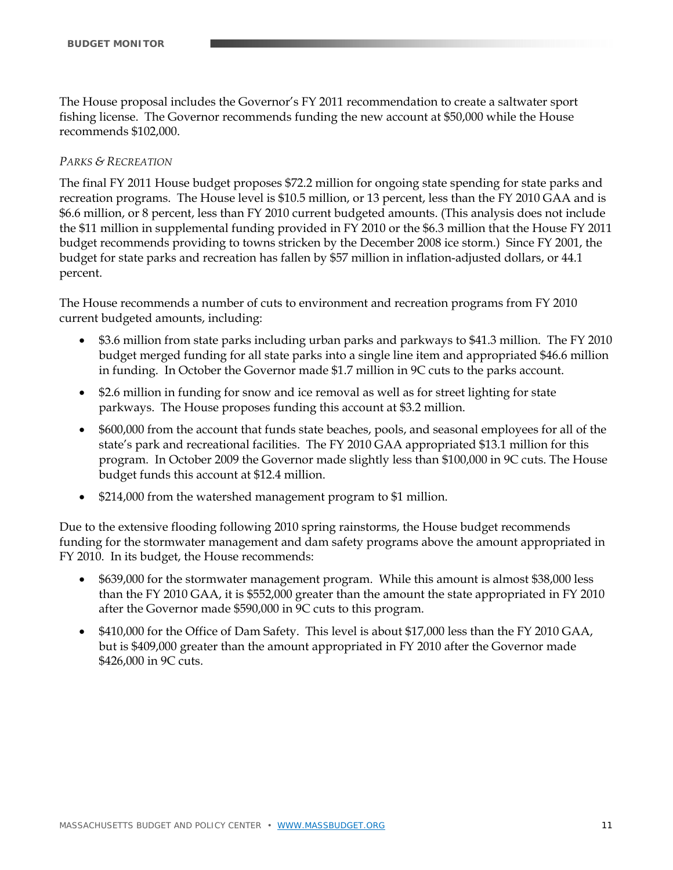The House proposal includes the Governor's FY 2011 recommendation to create a saltwater sport fishing license. The Governor recommends funding the new account at \$50,000 while the House recommends \$102,000.

#### *PARKS & RECREATION*

The final FY 2011 House budget proposes \$72.2 million for ongoing state spending for state parks and recreation programs. The House level is \$10.5 million, or 13 percent, less than the FY 2010 GAA and is \$6.6 million, or 8 percent, less than FY 2010 current budgeted amounts. (This analysis does not include the \$11 million in supplemental funding provided in FY 2010 or the \$6.3 million that the House FY 2011 budget recommends providing to towns stricken by the December 2008 ice storm.) Since FY 2001, the budget for state parks and recreation has fallen by \$57 million in inflation-adjusted dollars, or 44.1 percent.

The House recommends a number of cuts to environment and recreation programs from FY 2010 current budgeted amounts, including:

- \$3.6 million from state parks including urban parks and parkways to \$41.3 million. The FY 2010 budget merged funding for all state parks into a single line item and appropriated \$46.6 million in funding. In October the Governor made \$1.7 million in 9C cuts to the parks account.
- \$2.6 million in funding for snow and ice removal as well as for street lighting for state parkways. The House proposes funding this account at \$3.2 million.
- \$600,000 from the account that funds state beaches, pools, and seasonal employees for all of the state's park and recreational facilities. The FY 2010 GAA appropriated \$13.1 million for this program. In October 2009 the Governor made slightly less than \$100,000 in 9C cuts. The House budget funds this account at \$12.4 million.
- \$214,000 from the watershed management program to \$1 million.

Due to the extensive flooding following 2010 spring rainstorms, the House budget recommends funding for the stormwater management and dam safety programs above the amount appropriated in FY 2010. In its budget, the House recommends:

- \$639,000 for the stormwater management program. While this amount is almost \$38,000 less than the FY 2010 GAA, it is \$552,000 greater than the amount the state appropriated in FY 2010 after the Governor made \$590,000 in 9C cuts to this program.
- \$410,000 for the Office of Dam Safety. This level is about \$17,000 less than the FY 2010 GAA, but is \$409,000 greater than the amount appropriated in FY 2010 after the Governor made \$426,000 in 9C cuts.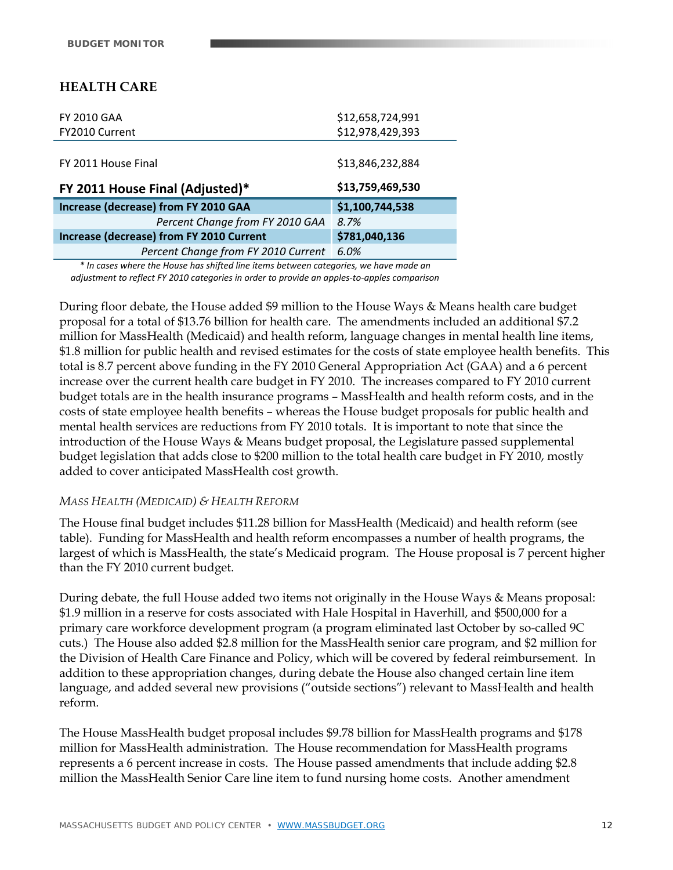# **HEALTH CARE**

| <b>FY 2010 GAA</b>                       | \$12,658,724,991 |
|------------------------------------------|------------------|
| FY2010 Current                           | \$12,978,429,393 |
|                                          |                  |
| FY 2011 House Final                      | \$13,846,232,884 |
| FY 2011 House Final (Adjusted)*          | \$13,759,469,530 |
| Increase (decrease) from FY 2010 GAA     | \$1,100,744,538  |
| Percent Change from FY 2010 GAA          | 8.7%             |
| Increase (decrease) from FY 2010 Current |                  |
|                                          | \$781,040,136    |

*\* In cases where the House has shifted line items between categories, we have made an adjustment to reflect FY 2010 categories in order to provide an apples‐to‐apples comparison*

During floor debate, the House added \$9 million to the House Ways & Means health care budget proposal for a total of \$13.76 billion for health care. The amendments included an additional \$7.2 million for MassHealth (Medicaid) and health reform, language changes in mental health line items, \$1.8 million for public health and revised estimates for the costs of state employee health benefits. This total is 8.7 percent above funding in the FY 2010 General Appropriation Act (GAA) and a 6 percent increase over the current health care budget in FY 2010. The increases compared to FY 2010 current budget totals are in the health insurance programs – MassHealth and health reform costs, and in the costs of state employee health benefits – whereas the House budget proposals for public health and mental health services are reductions from FY 2010 totals. It is important to note that since the introduction of the House Ways & Means budget proposal, the Legislature passed supplemental budget legislation that adds close to \$200 million to the total health care budget in FY 2010, mostly added to cover anticipated MassHealth cost growth.

#### *MASS HEALTH (MEDICAID) & HEALTH REFORM*

The House final budget includes \$11.28 billion for MassHealth (Medicaid) and health reform (see table). Funding for MassHealth and health reform encompasses a number of health programs, the largest of which is MassHealth, the state's Medicaid program. The House proposal is 7 percent higher than the FY 2010 current budget.

During debate, the full House added two items not originally in the House Ways & Means proposal: \$1.9 million in a reserve for costs associated with Hale Hospital in Haverhill, and \$500,000 for a primary care workforce development program (a program eliminated last October by so-called 9C cuts.) The House also added \$2.8 million for the MassHealth senior care program, and \$2 million for the Division of Health Care Finance and Policy, which will be covered by federal reimbursement. In addition to these appropriation changes, during debate the House also changed certain line item language, and added several new provisions ("outside sections") relevant to MassHealth and health reform.

The House MassHealth budget proposal includes \$9.78 billion for MassHealth programs and \$178 million for MassHealth administration. The House recommendation for MassHealth programs represents a 6 percent increase in costs. The House passed amendments that include adding \$2.8 million the MassHealth Senior Care line item to fund nursing home costs. Another amendment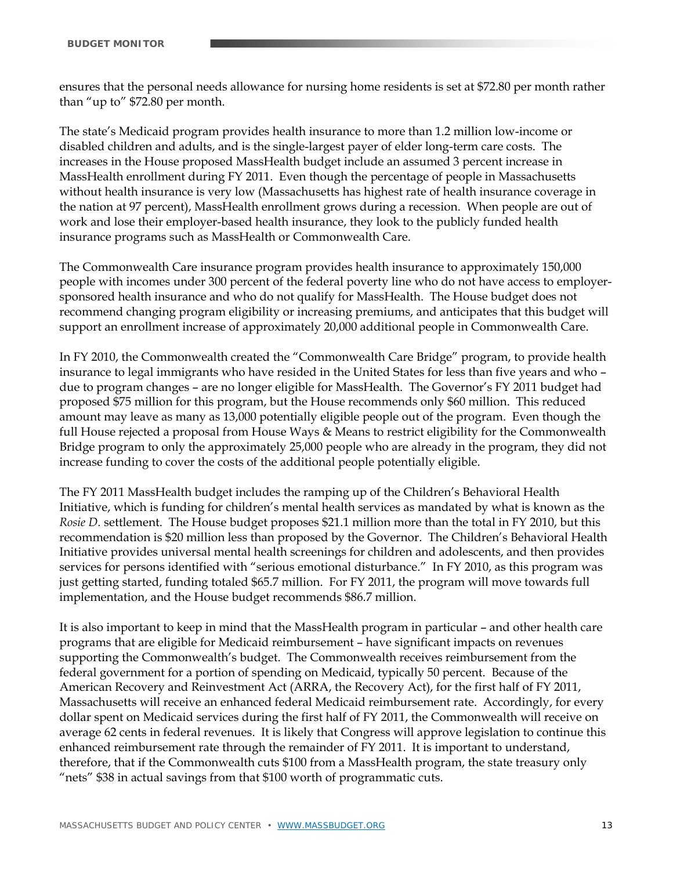ensures that the personal needs allowance for nursing home residents is set at \$72.80 per month rather than "up to" \$72.80 per month.

The state's Medicaid program provides health insurance to more than 1.2 million low-income or disabled children and adults, and is the single-largest payer of elder long-term care costs. The increases in the House proposed MassHealth budget include an assumed 3 percent increase in MassHealth enrollment during FY 2011. Even though the percentage of people in Massachusetts without health insurance is very low (Massachusetts has highest rate of health insurance coverage in the nation at 97 percent), MassHealth enrollment grows during a recession. When people are out of work and lose their employer-based health insurance, they look to the publicly funded health insurance programs such as MassHealth or Commonwealth Care.

The Commonwealth Care insurance program provides health insurance to approximately 150,000 people with incomes under 300 percent of the federal poverty line who do not have access to employersponsored health insurance and who do not qualify for MassHealth. The House budget does not recommend changing program eligibility or increasing premiums, and anticipates that this budget will support an enrollment increase of approximately 20,000 additional people in Commonwealth Care.

In FY 2010, the Commonwealth created the "Commonwealth Care Bridge" program, to provide health insurance to legal immigrants who have resided in the United States for less than five years and who – due to program changes – are no longer eligible for MassHealth. The Governor's FY 2011 budget had proposed \$75 million for this program, but the House recommends only \$60 million. This reduced amount may leave as many as 13,000 potentially eligible people out of the program. Even though the full House rejected a proposal from House Ways & Means to restrict eligibility for the Commonwealth Bridge program to only the approximately 25,000 people who are already in the program, they did not increase funding to cover the costs of the additional people potentially eligible.

The FY 2011 MassHealth budget includes the ramping up of the Children's Behavioral Health Initiative, which is funding for children's mental health services as mandated by what is known as the *Rosie D.* settlement. The House budget proposes \$21.1 million more than the total in FY 2010, but this recommendation is \$20 million less than proposed by the Governor. The Children's Behavioral Health Initiative provides universal mental health screenings for children and adolescents, and then provides services for persons identified with "serious emotional disturbance." In FY 2010, as this program was just getting started, funding totaled \$65.7 million. For FY 2011, the program will move towards full implementation, and the House budget recommends \$86.7 million.

It is also important to keep in mind that the MassHealth program in particular – and other health care programs that are eligible for Medicaid reimbursement – have significant impacts on revenues supporting the Commonwealth's budget. The Commonwealth receives reimbursement from the federal government for a portion of spending on Medicaid, typically 50 percent. Because of the American Recovery and Reinvestment Act (ARRA, the Recovery Act), for the first half of FY 2011, Massachusetts will receive an enhanced federal Medicaid reimbursement rate. Accordingly, for every dollar spent on Medicaid services during the first half of FY 2011, the Commonwealth will receive on average 62 cents in federal revenues. It is likely that Congress will approve legislation to continue this enhanced reimbursement rate through the remainder of FY 2011. It is important to understand, therefore, that if the Commonwealth cuts \$100 from a MassHealth program, the state treasury only "nets" \$38 in actual savings from that \$100 worth of programmatic cuts.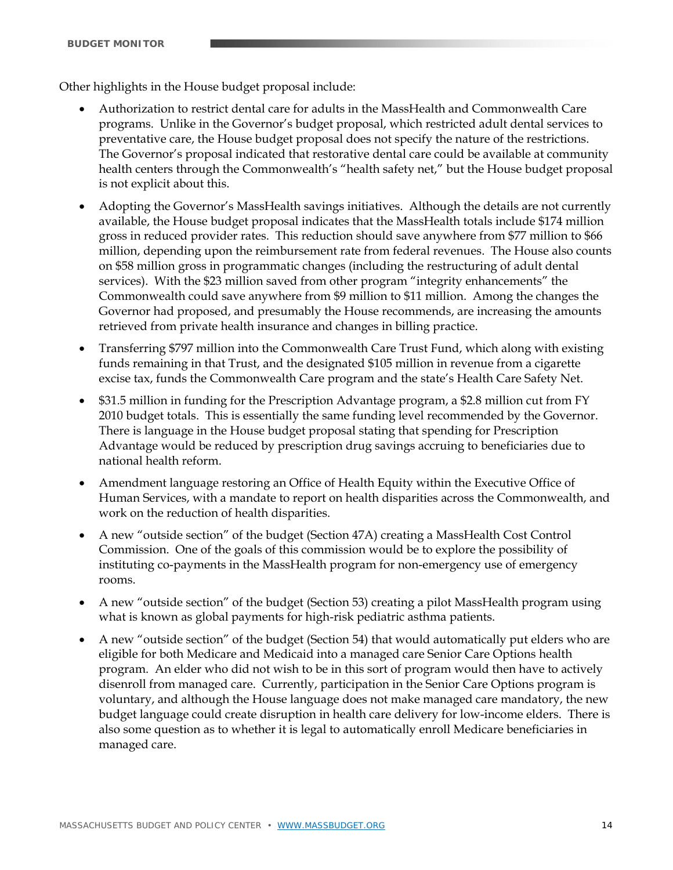Other highlights in the House budget proposal include:

- Authorization to restrict dental care for adults in the MassHealth and Commonwealth Care programs. Unlike in the Governor's budget proposal, which restricted adult dental services to preventative care, the House budget proposal does not specify the nature of the restrictions. The Governor's proposal indicated that restorative dental care could be available at community health centers through the Commonwealth's "health safety net," but the House budget proposal is not explicit about this.
- Adopting the Governor's MassHealth savings initiatives. Although the details are not currently available, the House budget proposal indicates that the MassHealth totals include \$174 million gross in reduced provider rates. This reduction should save anywhere from \$77 million to \$66 million, depending upon the reimbursement rate from federal revenues. The House also counts on \$58 million gross in programmatic changes (including the restructuring of adult dental services). With the \$23 million saved from other program "integrity enhancements" the Commonwealth could save anywhere from \$9 million to \$11 million. Among the changes the Governor had proposed, and presumably the House recommends, are increasing the amounts retrieved from private health insurance and changes in billing practice.
- Transferring \$797 million into the Commonwealth Care Trust Fund, which along with existing funds remaining in that Trust, and the designated \$105 million in revenue from a cigarette excise tax, funds the Commonwealth Care program and the state's Health Care Safety Net.
- \$31.5 million in funding for the Prescription Advantage program, a \$2.8 million cut from FY 2010 budget totals. This is essentially the same funding level recommended by the Governor. There is language in the House budget proposal stating that spending for Prescription Advantage would be reduced by prescription drug savings accruing to beneficiaries due to national health reform.
- Amendment language restoring an Office of Health Equity within the Executive Office of Human Services, with a mandate to report on health disparities across the Commonwealth, and work on the reduction of health disparities.
- A new "outside section" of the budget (Section 47A) creating a MassHealth Cost Control Commission. One of the goals of this commission would be to explore the possibility of instituting co-payments in the MassHealth program for non-emergency use of emergency rooms.
- A new "outside section" of the budget (Section 53) creating a pilot MassHealth program using what is known as global payments for high-risk pediatric asthma patients.
- A new "outside section" of the budget (Section 54) that would automatically put elders who are eligible for both Medicare and Medicaid into a managed care Senior Care Options health program. An elder who did not wish to be in this sort of program would then have to actively disenroll from managed care. Currently, participation in the Senior Care Options program is voluntary, and although the House language does not make managed care mandatory, the new budget language could create disruption in health care delivery for low-income elders. There is also some question as to whether it is legal to automatically enroll Medicare beneficiaries in managed care.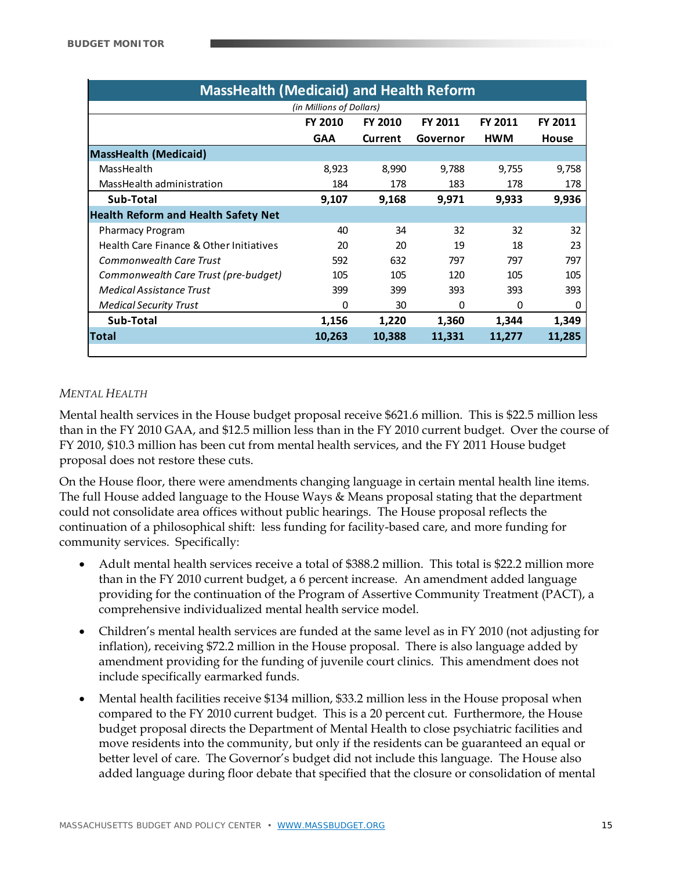| <b>MassHealth (Medicaid) and Health Reform</b> |                |                |                |            |                |  |  |
|------------------------------------------------|----------------|----------------|----------------|------------|----------------|--|--|
| (in Millions of Dollars)                       |                |                |                |            |                |  |  |
|                                                | <b>FY 2010</b> | <b>FY 2010</b> | <b>FY 2011</b> | FY 2011    | <b>FY 2011</b> |  |  |
|                                                | <b>GAA</b>     | Current        | Governor       | <b>HWM</b> | House          |  |  |
| <b>MassHealth (Medicaid)</b>                   |                |                |                |            |                |  |  |
| MassHealth                                     | 8,923          | 8,990          | 9,788          | 9,755      | 9,758          |  |  |
| MassHealth administration                      | 184            | 178            | 183            | 178        | 178            |  |  |
| Sub-Total                                      | 9,107          | 9,168          | 9,971          | 9,933      | 9,936          |  |  |
| <b>Health Reform and Health Safety Net</b>     |                |                |                |            |                |  |  |
| <b>Pharmacy Program</b>                        | 40             | 34             | 32             | 32         | 32             |  |  |
| Health Care Finance & Other Initiatives        | 20             | 20             | 19             | 18         | 23             |  |  |
| <b>Commonwealth Care Trust</b>                 | 592            | 632            | 797            | 797        | 797            |  |  |
| Commonwealth Care Trust (pre-budget)           | 105            | 105            | 120            | 105        | 105            |  |  |
| Medical Assistance Trust                       | 399            | 399            | 393            | 393        | 393            |  |  |
| <b>Medical Security Trust</b>                  | 0              | 30             | 0              | 0          | 0              |  |  |
| Sub-Total                                      | 1,156          | 1,220          | 1,360          | 1,344      | 1,349          |  |  |
| Total                                          | 10,263         | 10,388         | 11,331         | 11,277     | 11,285         |  |  |
|                                                |                |                |                |            |                |  |  |

#### *MENTAL HEALTH*

Mental health services in the House budget proposal receive \$621.6 million. This is \$22.5 million less than in the FY 2010 GAA, and \$12.5 million less than in the FY 2010 current budget. Over the course of FY 2010, \$10.3 million has been cut from mental health services, and the FY 2011 House budget proposal does not restore these cuts.

On the House floor, there were amendments changing language in certain mental health line items. The full House added language to the House Ways & Means proposal stating that the department could not consolidate area offices without public hearings. The House proposal reflects the continuation of a philosophical shift: less funding for facility-based care, and more funding for community services. Specifically:

- Adult mental health services receive a total of \$388.2 million. This total is \$22.2 million more than in the FY 2010 current budget, a 6 percent increase. An amendment added language providing for the continuation of the Program of Assertive Community Treatment (PACT), a comprehensive individualized mental health service model.
- Children's mental health services are funded at the same level as in FY 2010 (not adjusting for inflation), receiving \$72.2 million in the House proposal. There is also language added by amendment providing for the funding of juvenile court clinics. This amendment does not include specifically earmarked funds.
- Mental health facilities receive \$134 million, \$33.2 million less in the House proposal when compared to the FY 2010 current budget. This is a 20 percent cut. Furthermore, the House budget proposal directs the Department of Mental Health to close psychiatric facilities and move residents into the community, but only if the residents can be guaranteed an equal or better level of care. The Governor's budget did not include this language. The House also added language during floor debate that specified that the closure or consolidation of mental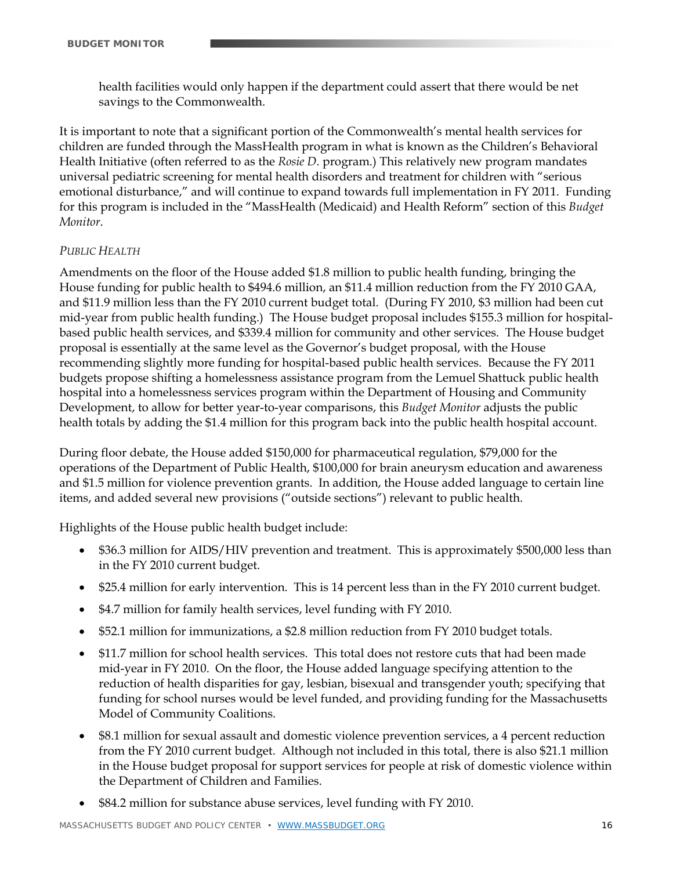health facilities would only happen if the department could assert that there would be net savings to the Commonwealth.

It is important to note that a significant portion of the Commonwealth's mental health services for children are funded through the MassHealth program in what is known as the Children's Behavioral Health Initiative (often referred to as the *Rosie D.* program.) This relatively new program mandates universal pediatric screening for mental health disorders and treatment for children with "serious emotional disturbance," and will continue to expand towards full implementation in FY 2011. Funding for this program is included in the "MassHealth (Medicaid) and Health Reform" section of this *Budget Monitor*.

#### *PUBLIC HEALTH*

Amendments on the floor of the House added \$1.8 million to public health funding, bringing the House funding for public health to \$494.6 million, an \$11.4 million reduction from the FY 2010 GAA, and \$11.9 million less than the FY 2010 current budget total. (During FY 2010, \$3 million had been cut mid-year from public health funding.) The House budget proposal includes \$155.3 million for hospitalbased public health services, and \$339.4 million for community and other services. The House budget proposal is essentially at the same level as the Governor's budget proposal, with the House recommending slightly more funding for hospital-based public health services. Because the FY 2011 budgets propose shifting a homelessness assistance program from the Lemuel Shattuck public health hospital into a homelessness services program within the Department of Housing and Community Development, to allow for better year-to-year comparisons, this *Budget Monitor* adjusts the public health totals by adding the \$1.4 million for this program back into the public health hospital account.

During floor debate, the House added \$150,000 for pharmaceutical regulation, \$79,000 for the operations of the Department of Public Health, \$100,000 for brain aneurysm education and awareness and \$1.5 million for violence prevention grants. In addition, the House added language to certain line items, and added several new provisions ("outside sections") relevant to public health.

Highlights of the House public health budget include:

- \$36.3 million for AIDS/HIV prevention and treatment. This is approximately \$500,000 less than in the FY 2010 current budget.
- \$25.4 million for early intervention. This is 14 percent less than in the FY 2010 current budget.
- \$4.7 million for family health services, level funding with FY 2010.
- \$52.1 million for immunizations, a \$2.8 million reduction from FY 2010 budget totals.
- \$11.7 million for school health services. This total does not restore cuts that had been made mid-year in FY 2010. On the floor, the House added language specifying attention to the reduction of health disparities for gay, lesbian, bisexual and transgender youth; specifying that funding for school nurses would be level funded, and providing funding for the Massachusetts Model of Community Coalitions.
- \$8.1 million for sexual assault and domestic violence prevention services, a 4 percent reduction from the FY 2010 current budget. Although not included in this total, there is also \$21.1 million in the House budget proposal for support services for people at risk of domestic violence within the Department of Children and Families.
- \$84.2 million for substance abuse services, level funding with FY 2010.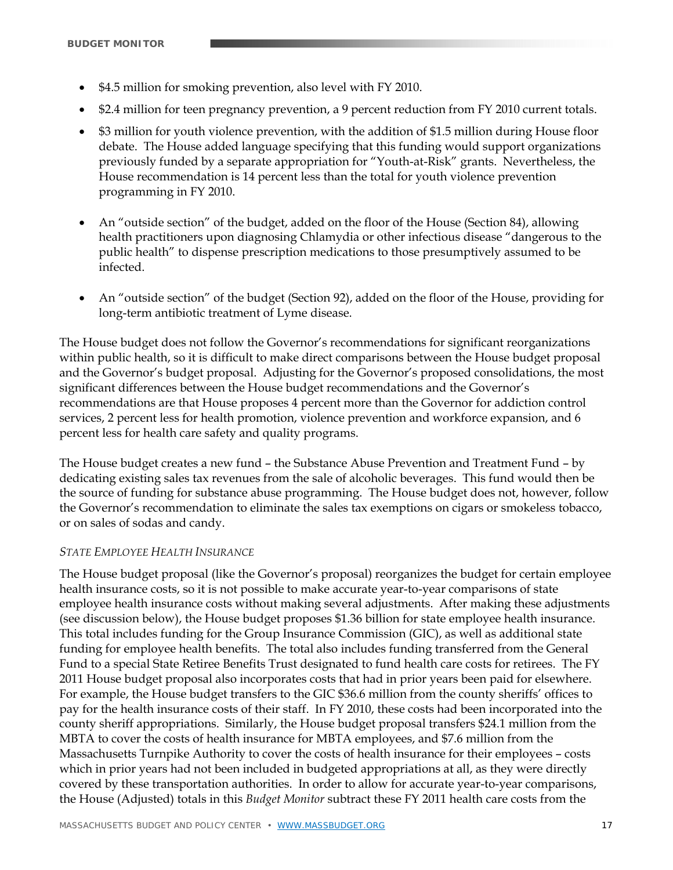- \$4.5 million for smoking prevention, also level with FY 2010.
- \$2.4 million for teen pregnancy prevention, a 9 percent reduction from FY 2010 current totals.
- \$3 million for youth violence prevention, with the addition of \$1.5 million during House floor debate. The House added language specifying that this funding would support organizations previously funded by a separate appropriation for "Youth-at-Risk" grants. Nevertheless, the House recommendation is 14 percent less than the total for youth violence prevention programming in FY 2010.
- An "outside section" of the budget, added on the floor of the House (Section 84), allowing health practitioners upon diagnosing Chlamydia or other infectious disease "dangerous to the public health" to dispense prescription medications to those presumptively assumed to be infected.
- An "outside section" of the budget (Section 92), added on the floor of the House, providing for long-term antibiotic treatment of Lyme disease.

The House budget does not follow the Governor's recommendations for significant reorganizations within public health, so it is difficult to make direct comparisons between the House budget proposal and the Governor's budget proposal. Adjusting for the Governor's proposed consolidations, the most significant differences between the House budget recommendations and the Governor's recommendations are that House proposes 4 percent more than the Governor for addiction control services, 2 percent less for health promotion, violence prevention and workforce expansion, and 6 percent less for health care safety and quality programs.

The House budget creates a new fund – the Substance Abuse Prevention and Treatment Fund – by dedicating existing sales tax revenues from the sale of alcoholic beverages. This fund would then be the source of funding for substance abuse programming. The House budget does not, however, follow the Governor's recommendation to eliminate the sales tax exemptions on cigars or smokeless tobacco, or on sales of sodas and candy.

#### *STATE EMPLOYEE HEALTH INSURANCE*

The House budget proposal (like the Governor's proposal) reorganizes the budget for certain employee health insurance costs, so it is not possible to make accurate year-to-year comparisons of state employee health insurance costs without making several adjustments. After making these adjustments (see discussion below), the House budget proposes \$1.36 billion for state employee health insurance. This total includes funding for the Group Insurance Commission (GIC), as well as additional state funding for employee health benefits. The total also includes funding transferred from the General Fund to a special State Retiree Benefits Trust designated to fund health care costs for retirees. The FY 2011 House budget proposal also incorporates costs that had in prior years been paid for elsewhere. For example, the House budget transfers to the GIC \$36.6 million from the county sheriffs' offices to pay for the health insurance costs of their staff. In FY 2010, these costs had been incorporated into the county sheriff appropriations. Similarly, the House budget proposal transfers \$24.1 million from the MBTA to cover the costs of health insurance for MBTA employees, and \$7.6 million from the Massachusetts Turnpike Authority to cover the costs of health insurance for their employees – costs which in prior years had not been included in budgeted appropriations at all, as they were directly covered by these transportation authorities. In order to allow for accurate year-to-year comparisons, the House (Adjusted) totals in this *Budget Monitor* subtract these FY 2011 health care costs from the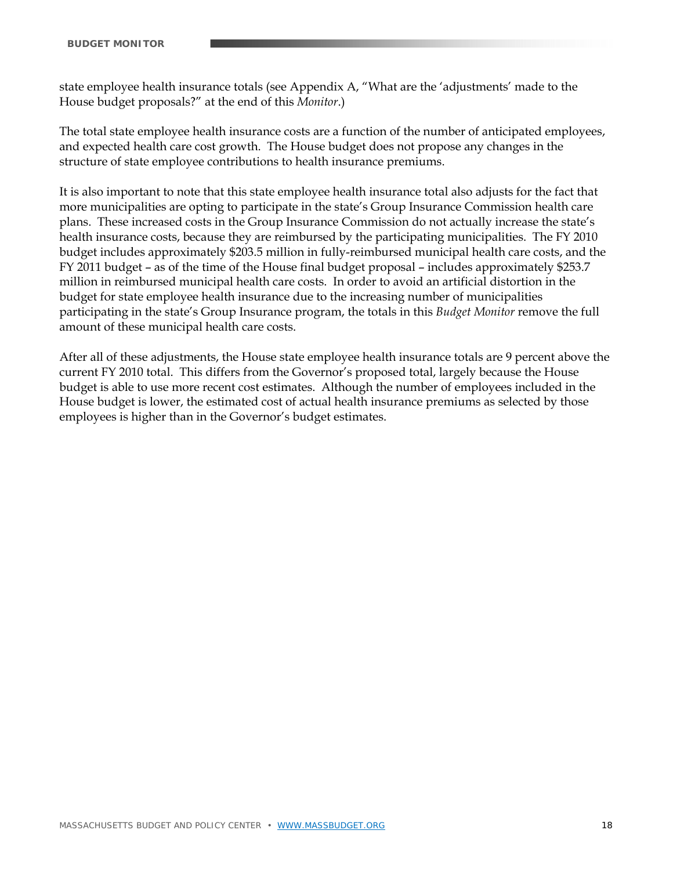state employee health insurance totals (see Appendix A, "What are the 'adjustments' made to the House budget proposals?" at the end of this *Monitor*.)

The total state employee health insurance costs are a function of the number of anticipated employees, and expected health care cost growth. The House budget does not propose any changes in the structure of state employee contributions to health insurance premiums.

It is also important to note that this state employee health insurance total also adjusts for the fact that more municipalities are opting to participate in the state's Group Insurance Commission health care plans. These increased costs in the Group Insurance Commission do not actually increase the state's health insurance costs, because they are reimbursed by the participating municipalities. The FY 2010 budget includes approximately \$203.5 million in fully-reimbursed municipal health care costs, and the FY 2011 budget – as of the time of the House final budget proposal – includes approximately \$253.7 million in reimbursed municipal health care costs. In order to avoid an artificial distortion in the budget for state employee health insurance due to the increasing number of municipalities participating in the state's Group Insurance program, the totals in this *Budget Monitor* remove the full amount of these municipal health care costs.

After all of these adjustments, the House state employee health insurance totals are 9 percent above the current FY 2010 total. This differs from the Governor's proposed total, largely because the House budget is able to use more recent cost estimates. Although the number of employees included in the House budget is lower, the estimated cost of actual health insurance premiums as selected by those employees is higher than in the Governor's budget estimates.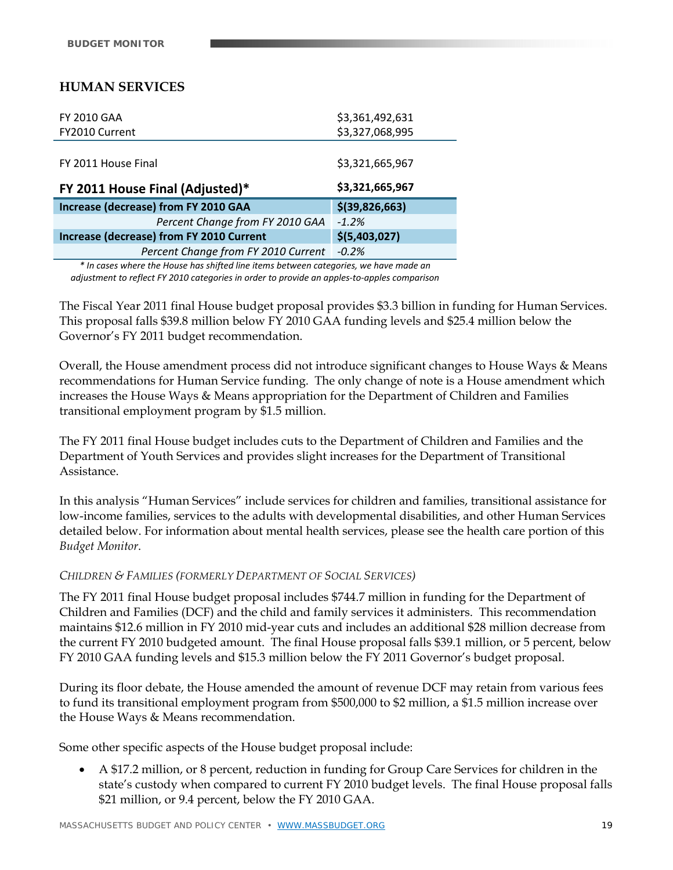# **HUMAN SERVICES**

| <b>FY 2010 GAA</b>                              | \$3,361,492,631  |
|-------------------------------------------------|------------------|
| FY2010 Current                                  | \$3,327,068,995  |
|                                                 |                  |
| FY 2011 House Final                             | \$3,321,665,967  |
| FY 2011 House Final (Adjusted)*                 | \$3,321,665,967  |
| Increase (decrease) from FY 2010 GAA            | $$$ (39,826,663) |
| Percent Change from FY 2010 GAA                 | $-1.2%$          |
| <b>Increase (decrease) from FY 2010 Current</b> | \$(5,403,027)    |
| Percent Change from FY 2010 Current             | $-0.2%$          |

*\* In cases where the House has shifted line items between categories, we have made an adjustment to reflect FY 2010 categories in order to provide an apples‐to‐apples comparison*

The Fiscal Year 2011 final House budget proposal provides \$3.3 billion in funding for Human Services. This proposal falls \$39.8 million below FY 2010 GAA funding levels and \$25.4 million below the Governor's FY 2011 budget recommendation.

Overall, the House amendment process did not introduce significant changes to House Ways & Means recommendations for Human Service funding. The only change of note is a House amendment which increases the House Ways & Means appropriation for the Department of Children and Families transitional employment program by \$1.5 million.

The FY 2011 final House budget includes cuts to the Department of Children and Families and the Department of Youth Services and provides slight increases for the Department of Transitional Assistance.

In this analysis "Human Services" include services for children and families, transitional assistance for low-income families, services to the adults with developmental disabilities, and other Human Services detailed below. For information about mental health services, please see the health care portion of this *Budget Monitor*.

#### *CHILDREN & FAMILIES (FORMERLY DEPARTMENT OF SOCIAL SERVICES)*

The FY 2011 final House budget proposal includes \$744.7 million in funding for the Department of Children and Families (DCF) and the child and family services it administers. This recommendation maintains \$12.6 million in FY 2010 mid-year cuts and includes an additional \$28 million decrease from the current FY 2010 budgeted amount. The final House proposal falls \$39.1 million, or 5 percent, below FY 2010 GAA funding levels and \$15.3 million below the FY 2011 Governor's budget proposal.

During its floor debate, the House amended the amount of revenue DCF may retain from various fees to fund its transitional employment program from \$500,000 to \$2 million, a \$1.5 million increase over the House Ways & Means recommendation.

Some other specific aspects of the House budget proposal include:

 A \$17.2 million, or 8 percent, reduction in funding for Group Care Services for children in the state's custody when compared to current FY 2010 budget levels. The final House proposal falls \$21 million, or 9.4 percent, below the FY 2010 GAA.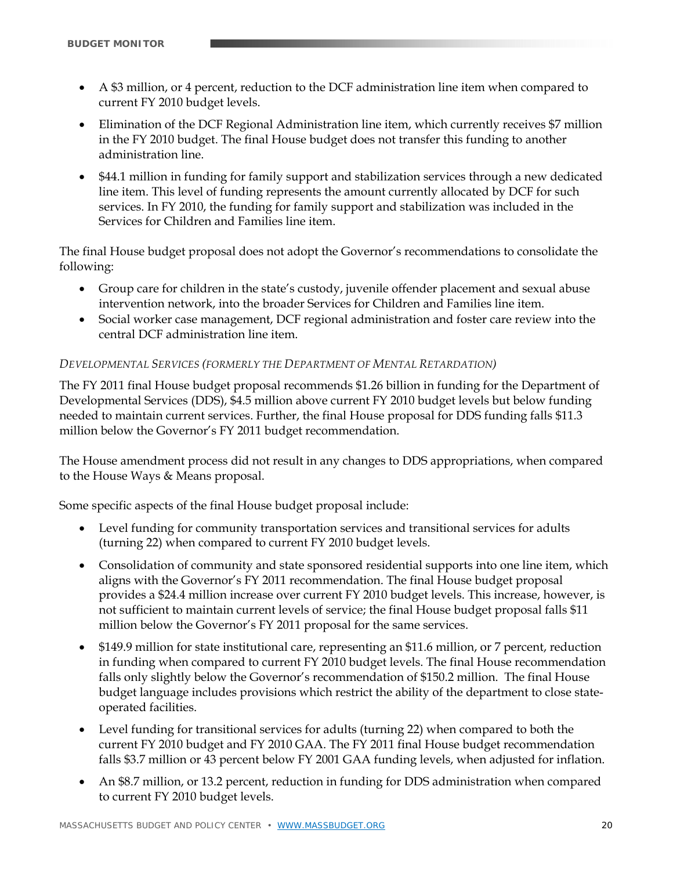- A \$3 million, or 4 percent, reduction to the DCF administration line item when compared to current FY 2010 budget levels.
- Elimination of the DCF Regional Administration line item, which currently receives \$7 million in the FY 2010 budget. The final House budget does not transfer this funding to another administration line.
- \$44.1 million in funding for family support and stabilization services through a new dedicated line item. This level of funding represents the amount currently allocated by DCF for such services. In FY 2010, the funding for family support and stabilization was included in the Services for Children and Families line item.

The final House budget proposal does not adopt the Governor's recommendations to consolidate the following:

- Group care for children in the state's custody, juvenile offender placement and sexual abuse intervention network, into the broader Services for Children and Families line item.
- Social worker case management, DCF regional administration and foster care review into the central DCF administration line item.

#### *DEVELOPMENTAL SERVICES (FORMERLY THE DEPARTMENT OF MENTAL RETARDATION)*

The FY 2011 final House budget proposal recommends \$1.26 billion in funding for the Department of Developmental Services (DDS), \$4.5 million above current FY 2010 budget levels but below funding needed to maintain current services. Further, the final House proposal for DDS funding falls \$11.3 million below the Governor's FY 2011 budget recommendation.

The House amendment process did not result in any changes to DDS appropriations, when compared to the House Ways & Means proposal.

Some specific aspects of the final House budget proposal include:

- Level funding for community transportation services and transitional services for adults (turning 22) when compared to current FY 2010 budget levels.
- Consolidation of community and state sponsored residential supports into one line item, which aligns with the Governor's FY 2011 recommendation. The final House budget proposal provides a \$24.4 million increase over current FY 2010 budget levels. This increase, however, is not sufficient to maintain current levels of service; the final House budget proposal falls \$11 million below the Governor's FY 2011 proposal for the same services.
- \$149.9 million for state institutional care, representing an \$11.6 million, or 7 percent, reduction in funding when compared to current FY 2010 budget levels. The final House recommendation falls only slightly below the Governor's recommendation of \$150.2 million. The final House budget language includes provisions which restrict the ability of the department to close stateoperated facilities.
- Level funding for transitional services for adults (turning 22) when compared to both the current FY 2010 budget and FY 2010 GAA. The FY 2011 final House budget recommendation falls \$3.7 million or 43 percent below FY 2001 GAA funding levels, when adjusted for inflation.
- An \$8.7 million, or 13.2 percent, reduction in funding for DDS administration when compared to current FY 2010 budget levels.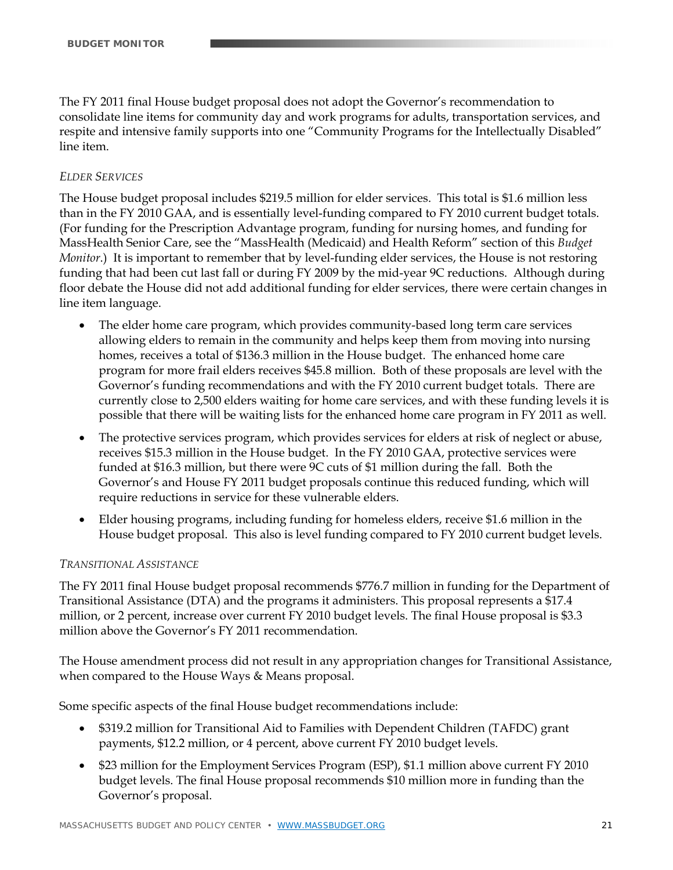The FY 2011 final House budget proposal does not adopt the Governor's recommendation to consolidate line items for community day and work programs for adults, transportation services, and respite and intensive family supports into one "Community Programs for the Intellectually Disabled" line item.

#### *ELDER SERVICES*

The House budget proposal includes \$219.5 million for elder services. This total is \$1.6 million less than in the FY 2010 GAA, and is essentially level-funding compared to FY 2010 current budget totals. (For funding for the Prescription Advantage program, funding for nursing homes, and funding for MassHealth Senior Care, see the "MassHealth (Medicaid) and Health Reform" section of this *Budget Monitor*.) It is important to remember that by level-funding elder services, the House is not restoring funding that had been cut last fall or during FY 2009 by the mid-year 9C reductions. Although during floor debate the House did not add additional funding for elder services, there were certain changes in line item language.

- The elder home care program, which provides community-based long term care services allowing elders to remain in the community and helps keep them from moving into nursing homes, receives a total of \$136.3 million in the House budget. The enhanced home care program for more frail elders receives \$45.8 million. Both of these proposals are level with the Governor's funding recommendations and with the FY 2010 current budget totals. There are currently close to 2,500 elders waiting for home care services, and with these funding levels it is possible that there will be waiting lists for the enhanced home care program in FY 2011 as well.
- The protective services program, which provides services for elders at risk of neglect or abuse, receives \$15.3 million in the House budget. In the FY 2010 GAA, protective services were funded at \$16.3 million, but there were 9C cuts of \$1 million during the fall. Both the Governor's and House FY 2011 budget proposals continue this reduced funding, which will require reductions in service for these vulnerable elders.
- Elder housing programs, including funding for homeless elders, receive \$1.6 million in the House budget proposal. This also is level funding compared to FY 2010 current budget levels.

#### *TRANSITIONAL ASSISTANCE*

The FY 2011 final House budget proposal recommends \$776.7 million in funding for the Department of Transitional Assistance (DTA) and the programs it administers. This proposal represents a \$17.4 million, or 2 percent, increase over current FY 2010 budget levels. The final House proposal is \$3.3 million above the Governor's FY 2011 recommendation.

The House amendment process did not result in any appropriation changes for Transitional Assistance, when compared to the House Ways & Means proposal.

Some specific aspects of the final House budget recommendations include:

- \$319.2 million for Transitional Aid to Families with Dependent Children (TAFDC) grant payments, \$12.2 million, or 4 percent, above current FY 2010 budget levels.
- \$23 million for the Employment Services Program (ESP), \$1.1 million above current FY 2010 budget levels. The final House proposal recommends \$10 million more in funding than the Governor's proposal.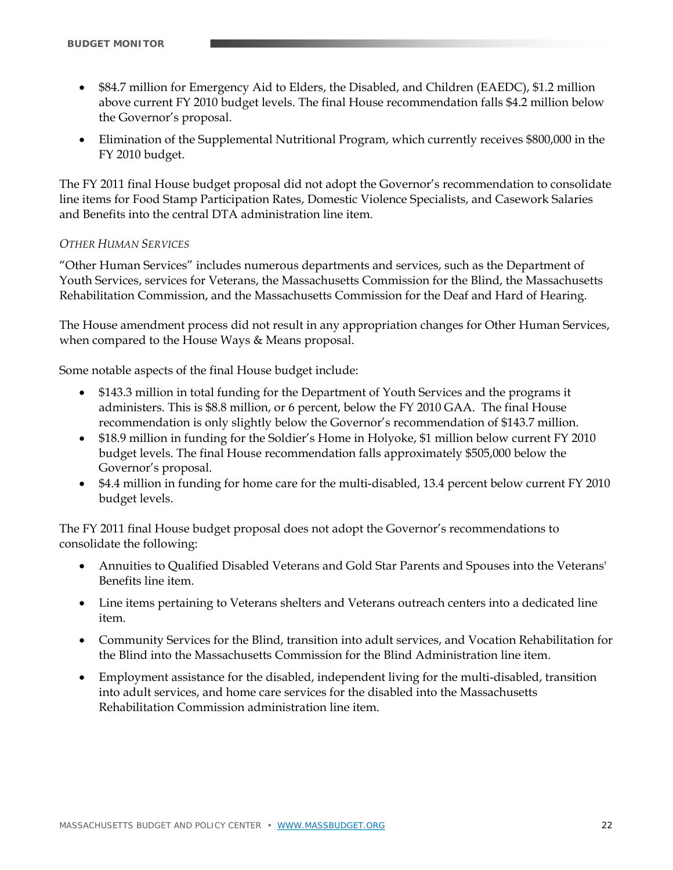- \$84.7 million for Emergency Aid to Elders, the Disabled, and Children (EAEDC), \$1.2 million above current FY 2010 budget levels. The final House recommendation falls \$4.2 million below the Governor's proposal.
- Elimination of the Supplemental Nutritional Program, which currently receives \$800,000 in the FY 2010 budget.

The FY 2011 final House budget proposal did not adopt the Governor's recommendation to consolidate line items for Food Stamp Participation Rates, Domestic Violence Specialists, and Casework Salaries and Benefits into the central DTA administration line item.

#### *OTHER HUMAN SERVICES*

"Other Human Services" includes numerous departments and services, such as the Department of Youth Services, services for Veterans, the Massachusetts Commission for the Blind, the Massachusetts Rehabilitation Commission, and the Massachusetts Commission for the Deaf and Hard of Hearing.

The House amendment process did not result in any appropriation changes for Other Human Services, when compared to the House Ways & Means proposal.

Some notable aspects of the final House budget include:

- \$143.3 million in total funding for the Department of Youth Services and the programs it administers. This is \$8.8 million, or 6 percent, below the FY 2010 GAA. The final House recommendation is only slightly below the Governor's recommendation of \$143.7 million.
- \$18.9 million in funding for the Soldier's Home in Holyoke, \$1 million below current FY 2010 budget levels. The final House recommendation falls approximately \$505,000 below the Governor's proposal.
- \$4.4 million in funding for home care for the multi-disabled, 13.4 percent below current FY 2010 budget levels.

The FY 2011 final House budget proposal does not adopt the Governor's recommendations to consolidate the following:

- Annuities to Qualified Disabled Veterans and Gold Star Parents and Spouses into the Veterans' Benefits line item.
- Line items pertaining to Veterans shelters and Veterans outreach centers into a dedicated line item.
- Community Services for the Blind, transition into adult services, and Vocation Rehabilitation for the Blind into the Massachusetts Commission for the Blind Administration line item.
- Employment assistance for the disabled, independent living for the multi-disabled, transition into adult services, and home care services for the disabled into the Massachusetts Rehabilitation Commission administration line item.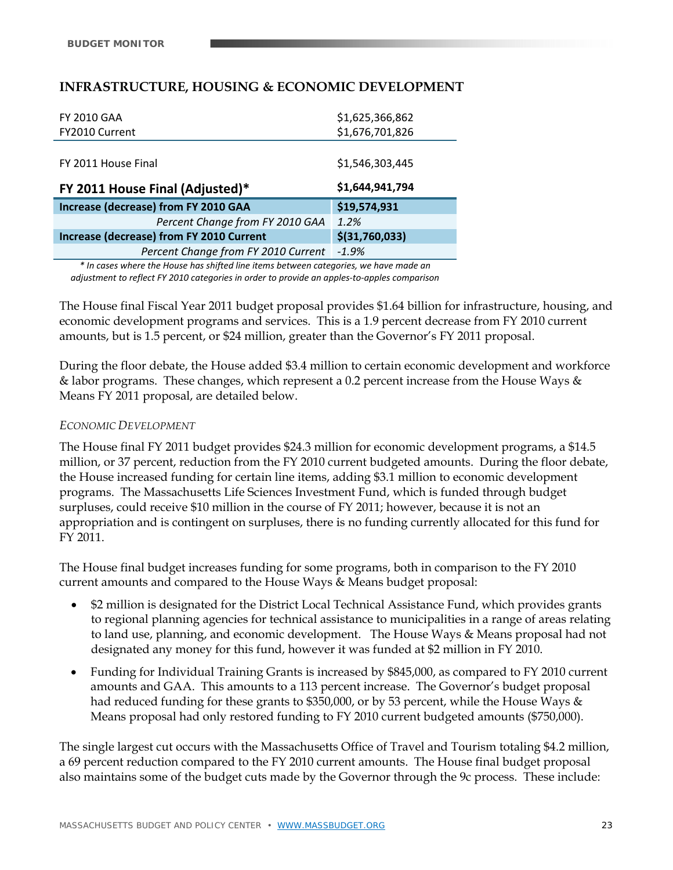# **INFRASTRUCTURE, HOUSING & ECONOMIC DEVELOPMENT**

| <b>FY 2010 GAA</b>                       | \$1,625,366,862 |
|------------------------------------------|-----------------|
| FY2010 Current                           | \$1,676,701,826 |
|                                          |                 |
| FY 2011 House Final                      | \$1,546,303,445 |
|                                          |                 |
| FY 2011 House Final (Adjusted)*          | \$1,644,941,794 |
| Increase (decrease) from FY 2010 GAA     | \$19,574,931    |
| Percent Change from FY 2010 GAA          | 1.2%            |
| Increase (decrease) from FY 2010 Current | \$(31,760,033)  |
| Percent Change from FY 2010 Current      | $-1.9%$         |

*\* In cases where the House has shifted line items between categories, we have made an adjustment to reflect FY 2010 categories in order to provide an apples‐to‐apples comparison*

The House final Fiscal Year 2011 budget proposal provides \$1.64 billion for infrastructure, housing, and economic development programs and services. This is a 1.9 percent decrease from FY 2010 current amounts, but is 1.5 percent, or \$24 million, greater than the Governor's FY 2011 proposal.

During the floor debate, the House added \$3.4 million to certain economic development and workforce & labor programs. These changes, which represent a 0.2 percent increase from the House Ways  $\&$ Means FY 2011 proposal, are detailed below.

#### *ECONOMIC DEVELOPMENT*

The House final FY 2011 budget provides \$24.3 million for economic development programs, a \$14.5 million, or 37 percent, reduction from the FY 2010 current budgeted amounts. During the floor debate, the House increased funding for certain line items, adding \$3.1 million to economic development programs. The Massachusetts Life Sciences Investment Fund, which is funded through budget surpluses, could receive \$10 million in the course of FY 2011; however, because it is not an appropriation and is contingent on surpluses, there is no funding currently allocated for this fund for FY 2011.

The House final budget increases funding for some programs, both in comparison to the FY 2010 current amounts and compared to the House Ways & Means budget proposal:

- \$2 million is designated for the District Local Technical Assistance Fund, which provides grants to regional planning agencies for technical assistance to municipalities in a range of areas relating to land use, planning, and economic development. The House Ways & Means proposal had not designated any money for this fund, however it was funded at \$2 million in FY 2010.
- Funding for Individual Training Grants is increased by \$845,000, as compared to FY 2010 current amounts and GAA. This amounts to a 113 percent increase. The Governor's budget proposal had reduced funding for these grants to \$350,000, or by 53 percent, while the House Ways & Means proposal had only restored funding to FY 2010 current budgeted amounts (\$750,000).

The single largest cut occurs with the Massachusetts Office of Travel and Tourism totaling \$4.2 million, a 69 percent reduction compared to the FY 2010 current amounts. The House final budget proposal also maintains some of the budget cuts made by the Governor through the 9c process. These include: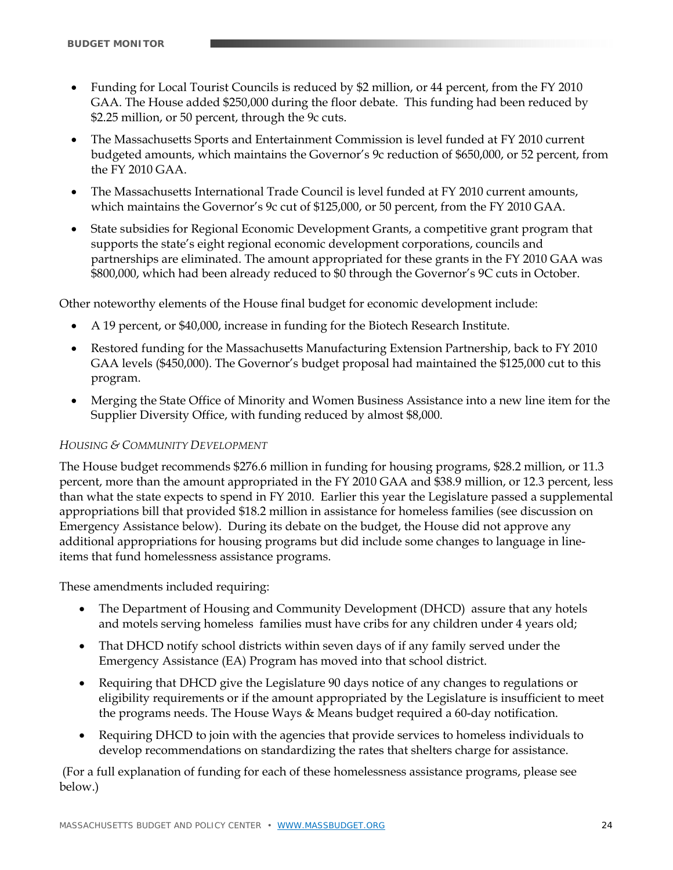- Funding for Local Tourist Councils is reduced by \$2 million, or 44 percent, from the FY 2010 GAA. The House added \$250,000 during the floor debate. This funding had been reduced by \$2.25 million, or 50 percent, through the 9c cuts.
- The Massachusetts Sports and Entertainment Commission is level funded at FY 2010 current budgeted amounts, which maintains the Governor's 9c reduction of \$650,000, or 52 percent, from the FY 2010 GAA.
- The Massachusetts International Trade Council is level funded at FY 2010 current amounts, which maintains the Governor's 9c cut of \$125,000, or 50 percent, from the FY 2010 GAA.
- State subsidies for Regional Economic Development Grants, a competitive grant program that supports the state's eight regional economic development corporations, councils and partnerships are eliminated. The amount appropriated for these grants in the FY 2010 GAA was \$800,000, which had been already reduced to \$0 through the Governor's 9C cuts in October.

Other noteworthy elements of the House final budget for economic development include:

- A 19 percent, or \$40,000, increase in funding for the Biotech Research Institute.
- Restored funding for the Massachusetts Manufacturing Extension Partnership, back to FY 2010 GAA levels (\$450,000). The Governor's budget proposal had maintained the \$125,000 cut to this program.
- Merging the State Office of Minority and Women Business Assistance into a new line item for the Supplier Diversity Office, with funding reduced by almost \$8,000.

#### *HOUSING & COMMUNITY DEVELOPMENT*

The House budget recommends \$276.6 million in funding for housing programs, \$28.2 million, or 11.3 percent, more than the amount appropriated in the FY 2010 GAA and \$38.9 million, or 12.3 percent, less than what the state expects to spend in FY 2010. Earlier this year the Legislature passed a supplemental appropriations bill that provided \$18.2 million in assistance for homeless families (see discussion on Emergency Assistance below). During its debate on the budget, the House did not approve any additional appropriations for housing programs but did include some changes to language in lineitems that fund homelessness assistance programs.

These amendments included requiring:

- The Department of Housing and Community Development (DHCD) assure that any hotels and motels serving homeless families must have cribs for any children under 4 years old;
- That DHCD notify school districts within seven days of if any family served under the Emergency Assistance (EA) Program has moved into that school district.
- Requiring that DHCD give the Legislature 90 days notice of any changes to regulations or eligibility requirements or if the amount appropriated by the Legislature is insufficient to meet the programs needs. The House Ways & Means budget required a 60-day notification.
- Requiring DHCD to join with the agencies that provide services to homeless individuals to develop recommendations on standardizing the rates that shelters charge for assistance.

 (For a full explanation of funding for each of these homelessness assistance programs, please see below.)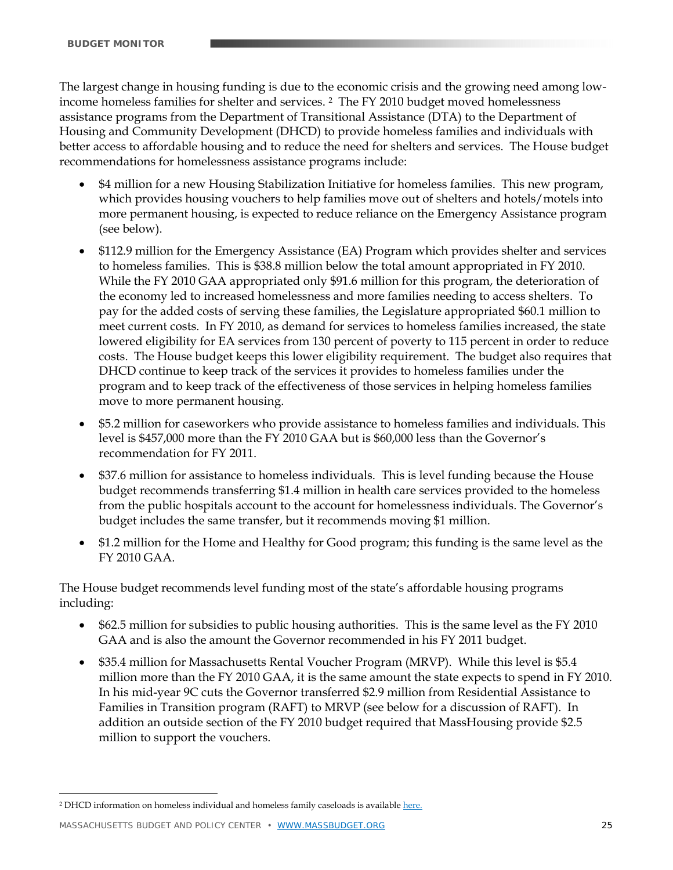The largest change in housing funding is due to the economic crisis and the growing need among lowincome homeless families for shelter and services. 2 The FY 2010 budget moved homelessness assistance programs from the Department of Transitional Assistance (DTA) to the Department of Housing and Community Development (DHCD) to provide homeless families and individuals with better access to affordable housing and to reduce the need for shelters and services. The House budget recommendations for homelessness assistance programs include:

- \$4 million for a new Housing Stabilization Initiative for homeless families. This new program, which provides housing vouchers to help families move out of shelters and hotels/motels into more permanent housing, is expected to reduce reliance on the Emergency Assistance program (see below).
- \$112.9 million for the Emergency Assistance (EA) Program which provides shelter and services to homeless families. This is \$38.8 million below the total amount appropriated in FY 2010. While the FY 2010 GAA appropriated only \$91.6 million for this program, the deterioration of the economy led to increased homelessness and more families needing to access shelters. To pay for the added costs of serving these families, the Legislature appropriated \$60.1 million to meet current costs. In FY 2010, as demand for services to homeless families increased, the state lowered eligibility for EA services from 130 percent of poverty to 115 percent in order to reduce costs. The House budget keeps this lower eligibility requirement. The budget also requires that DHCD continue to keep track of the services it provides to homeless families under the program and to keep track of the effectiveness of those services in helping homeless families move to more permanent housing.
- \$5.2 million for caseworkers who provide assistance to homeless families and individuals. This level is \$457,000 more than the FY 2010 GAA but is \$60,000 less than the Governor's recommendation for FY 2011.
- \$37.6 million for assistance to homeless individuals. This is level funding because the House budget recommends transferring \$1.4 million in health care services provided to the homeless from the public hospitals account to the account for homelessness individuals. The Governor's budget includes the same transfer, but it recommends moving \$1 million.
- \$1.2 million for the Home and Healthy for Good program; this funding is the same level as the FY 2010 GAA.

The House budget recommends level funding most of the state's affordable housing programs including:

- \$62.5 million for subsidies to public housing authorities. This is the same level as the FY 2010 GAA and is also the amount the Governor recommended in his FY 2011 budget.
- \$35.4 million for Massachusetts Rental Voucher Program (MRVP). While this level is \$5.4 million more than the FY 2010 GAA, it is the same amount the state expects to spend in FY 2010. In his mid-year 9C cuts the Governor transferred \$2.9 million from Residential Assistance to Families in Transition program (RAFT) to MRVP (see below for a discussion of RAFT). In addition an outside section of the FY 2010 budget required that MassHousing provide \$2.5 million to support the vouchers.

MASSACHUSETTS BUDGET AND POLICY CENTER • WWW.MASSBUDGET.ORG 25

<u>.</u>

<sup>&</sup>lt;sup>2</sup> DHCD information on homeless individual and homeless family caseloads is available [here.](http://www.mass.gov/Ehed/docs/dhcd/hs/homelessnumberchart.pdf)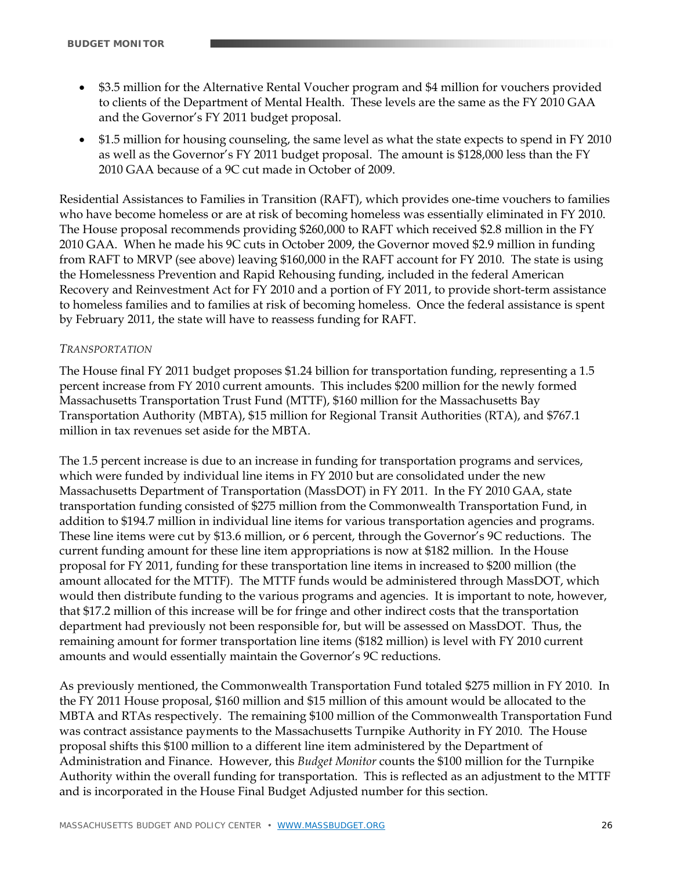- \$3.5 million for the Alternative Rental Voucher program and \$4 million for vouchers provided to clients of the Department of Mental Health. These levels are the same as the FY 2010 GAA and the Governor's FY 2011 budget proposal.
- \$1.5 million for housing counseling, the same level as what the state expects to spend in FY 2010 as well as the Governor's FY 2011 budget proposal. The amount is \$128,000 less than the FY 2010 GAA because of a 9C cut made in October of 2009.

Residential Assistances to Families in Transition (RAFT), which provides one-time vouchers to families who have become homeless or are at risk of becoming homeless was essentially eliminated in FY 2010. The House proposal recommends providing \$260,000 to RAFT which received \$2.8 million in the FY 2010 GAA. When he made his 9C cuts in October 2009, the Governor moved \$2.9 million in funding from RAFT to MRVP (see above) leaving \$160,000 in the RAFT account for FY 2010. The state is using the Homelessness Prevention and Rapid Rehousing funding, included in the federal American Recovery and Reinvestment Act for FY 2010 and a portion of FY 2011, to provide short-term assistance to homeless families and to families at risk of becoming homeless. Once the federal assistance is spent by February 2011, the state will have to reassess funding for RAFT.

#### *TRANSPORTATION*

The House final FY 2011 budget proposes \$1.24 billion for transportation funding, representing a 1.5 percent increase from FY 2010 current amounts. This includes \$200 million for the newly formed Massachusetts Transportation Trust Fund (MTTF), \$160 million for the Massachusetts Bay Transportation Authority (MBTA), \$15 million for Regional Transit Authorities (RTA), and \$767.1 million in tax revenues set aside for the MBTA.

The 1.5 percent increase is due to an increase in funding for transportation programs and services, which were funded by individual line items in FY 2010 but are consolidated under the new Massachusetts Department of Transportation (MassDOT) in FY 2011. In the FY 2010 GAA, state transportation funding consisted of \$275 million from the Commonwealth Transportation Fund, in addition to \$194.7 million in individual line items for various transportation agencies and programs. These line items were cut by \$13.6 million, or 6 percent, through the Governor's 9C reductions. The current funding amount for these line item appropriations is now at \$182 million. In the House proposal for FY 2011, funding for these transportation line items in increased to \$200 million (the amount allocated for the MTTF). The MTTF funds would be administered through MassDOT, which would then distribute funding to the various programs and agencies. It is important to note, however, that \$17.2 million of this increase will be for fringe and other indirect costs that the transportation department had previously not been responsible for, but will be assessed on MassDOT. Thus, the remaining amount for former transportation line items (\$182 million) is level with FY 2010 current amounts and would essentially maintain the Governor's 9C reductions.

As previously mentioned, the Commonwealth Transportation Fund totaled \$275 million in FY 2010. In the FY 2011 House proposal, \$160 million and \$15 million of this amount would be allocated to the MBTA and RTAs respectively. The remaining \$100 million of the Commonwealth Transportation Fund was contract assistance payments to the Massachusetts Turnpike Authority in FY 2010. The House proposal shifts this \$100 million to a different line item administered by the Department of Administration and Finance. However, this *Budget Monitor* counts the \$100 million for the Turnpike Authority within the overall funding for transportation. This is reflected as an adjustment to the MTTF and is incorporated in the House Final Budget Adjusted number for this section.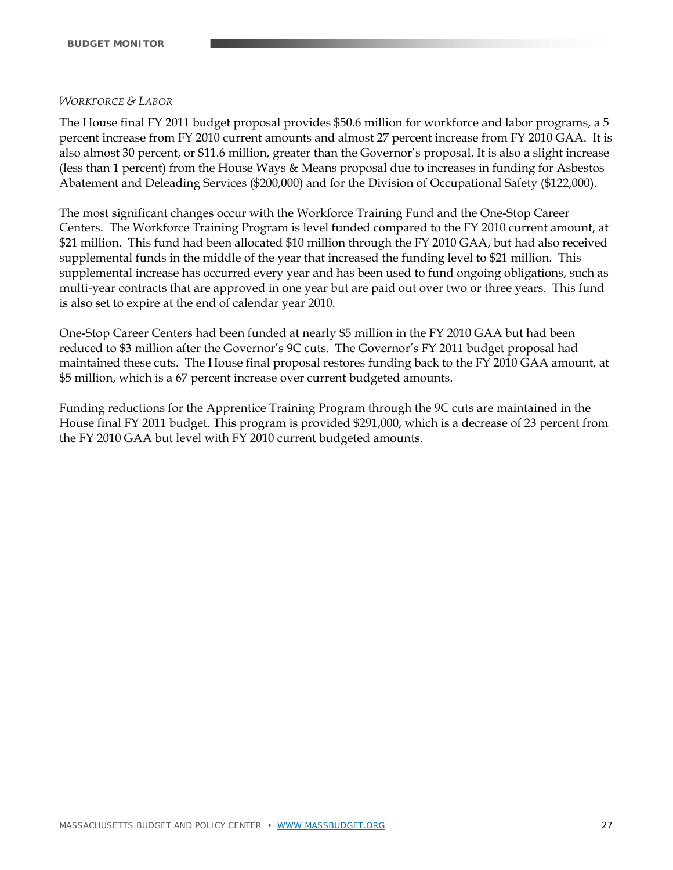#### *WORKFORCE & LABOR*

The House final FY 2011 budget proposal provides \$50.6 million for workforce and labor programs, a 5 percent increase from FY 2010 current amounts and almost 27 percent increase from FY 2010 GAA. It is also almost 30 percent, or \$11.6 million, greater than the Governor's proposal. It is also a slight increase (less than 1 percent) from the House Ways & Means proposal due to increases in funding for Asbestos Abatement and Deleading Services (\$200,000) and for the Division of Occupational Safety (\$122,000).

The most significant changes occur with the Workforce Training Fund and the One-Stop Career Centers. The Workforce Training Program is level funded compared to the FY 2010 current amount, at \$21 million. This fund had been allocated \$10 million through the FY 2010 GAA, but had also received supplemental funds in the middle of the year that increased the funding level to \$21 million. This supplemental increase has occurred every year and has been used to fund ongoing obligations, such as multi-year contracts that are approved in one year but are paid out over two or three years. This fund is also set to expire at the end of calendar year 2010.

One-Stop Career Centers had been funded at nearly \$5 million in the FY 2010 GAA but had been reduced to \$3 million after the Governor's 9C cuts. The Governor's FY 2011 budget proposal had maintained these cuts. The House final proposal restores funding back to the FY 2010 GAA amount, at \$5 million, which is a 67 percent increase over current budgeted amounts.

Funding reductions for the Apprentice Training Program through the 9C cuts are maintained in the House final FY 2011 budget. This program is provided \$291,000, which is a decrease of 23 percent from the FY 2010 GAA but level with FY 2010 current budgeted amounts.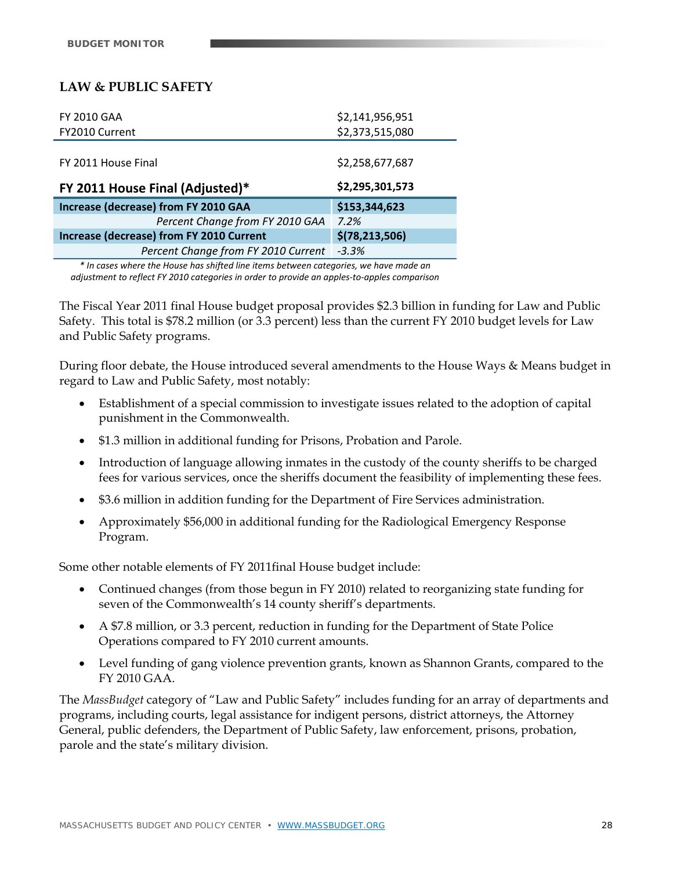# **LAW & PUBLIC SAFETY**

| <b>FY 2010 GAA</b>                       | \$2,141,956,951  |
|------------------------------------------|------------------|
| <b>FY2010 Current</b>                    | \$2,373,515,080  |
|                                          |                  |
| FY 2011 House Final                      | \$2,258,677,687  |
|                                          | \$2,295,301,573  |
| FY 2011 House Final (Adjusted)*          |                  |
| Increase (decrease) from FY 2010 GAA     | \$153,344,623    |
| Percent Change from FY 2010 GAA          | 7.2%             |
| Increase (decrease) from FY 2010 Current | \$(78, 213, 506) |
| Percent Change from FY 2010 Current      | $-3.3%$          |

*\* In cases where the House has shifted line items between categories, we have made an adjustment to reflect FY 2010 categories in order to provide an apples‐to‐apples comparison*

The Fiscal Year 2011 final House budget proposal provides \$2.3 billion in funding for Law and Public Safety. This total is \$78.2 million (or 3.3 percent) less than the current FY 2010 budget levels for Law and Public Safety programs.

During floor debate, the House introduced several amendments to the House Ways & Means budget in regard to Law and Public Safety, most notably:

- Establishment of a special commission to investigate issues related to the adoption of capital punishment in the Commonwealth.
- \$1.3 million in additional funding for Prisons, Probation and Parole.
- Introduction of language allowing inmates in the custody of the county sheriffs to be charged fees for various services, once the sheriffs document the feasibility of implementing these fees.
- \$3.6 million in addition funding for the Department of Fire Services administration.
- Approximately \$56,000 in additional funding for the Radiological Emergency Response Program.

Some other notable elements of FY 2011final House budget include:

- Continued changes (from those begun in FY 2010) related to reorganizing state funding for seven of the Commonwealth's 14 county sheriff's departments.
- A \$7.8 million, or 3.3 percent, reduction in funding for the Department of State Police Operations compared to FY 2010 current amounts.
- Level funding of gang violence prevention grants, known as Shannon Grants, compared to the FY 2010 GAA.

The *MassBudget* category of "Law and Public Safety" includes funding for an array of departments and programs, including courts, legal assistance for indigent persons, district attorneys, the Attorney General, public defenders, the Department of Public Safety, law enforcement, prisons, probation, parole and the state's military division.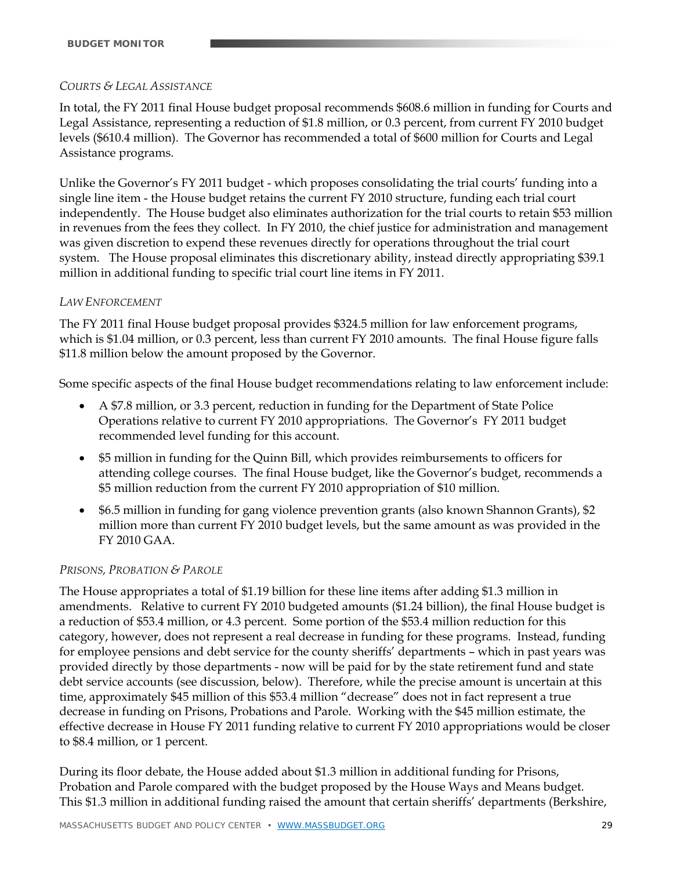#### *COURTS & LEGAL ASSISTANCE*

In total, the FY 2011 final House budget proposal recommends \$608.6 million in funding for Courts and Legal Assistance, representing a reduction of \$1.8 million, or 0.3 percent, from current FY 2010 budget levels (\$610.4 million). The Governor has recommended a total of \$600 million for Courts and Legal Assistance programs.

Unlike the Governor's FY 2011 budget - which proposes consolidating the trial courts' funding into a single line item - the House budget retains the current FY 2010 structure, funding each trial court independently. The House budget also eliminates authorization for the trial courts to retain \$53 million in revenues from the fees they collect. In FY 2010, the chief justice for administration and management was given discretion to expend these revenues directly for operations throughout the trial court system. The House proposal eliminates this discretionary ability, instead directly appropriating \$39.1 million in additional funding to specific trial court line items in FY 2011.

#### *LAW ENFORCEMENT*

The FY 2011 final House budget proposal provides \$324.5 million for law enforcement programs, which is \$1.04 million, or 0.3 percent, less than current FY 2010 amounts. The final House figure falls \$11.8 million below the amount proposed by the Governor.

Some specific aspects of the final House budget recommendations relating to law enforcement include:

- A \$7.8 million, or 3.3 percent, reduction in funding for the Department of State Police Operations relative to current FY 2010 appropriations. The Governor's FY 2011 budget recommended level funding for this account.
- \$5 million in funding for the Quinn Bill, which provides reimbursements to officers for attending college courses. The final House budget, like the Governor's budget, recommends a \$5 million reduction from the current FY 2010 appropriation of \$10 million.
- \$6.5 million in funding for gang violence prevention grants (also known Shannon Grants), \$2 million more than current FY 2010 budget levels, but the same amount as was provided in the FY 2010 GAA.

#### *PRISONS, PROBATION & PAROLE*

The House appropriates a total of \$1.19 billion for these line items after adding \$1.3 million in amendments. Relative to current FY 2010 budgeted amounts (\$1.24 billion), the final House budget is a reduction of \$53.4 million, or 4.3 percent. Some portion of the \$53.4 million reduction for this category, however, does not represent a real decrease in funding for these programs. Instead, funding for employee pensions and debt service for the county sheriffs' departments – which in past years was provided directly by those departments - now will be paid for by the state retirement fund and state debt service accounts (see discussion, below). Therefore, while the precise amount is uncertain at this time, approximately \$45 million of this \$53.4 million "decrease" does not in fact represent a true decrease in funding on Prisons, Probations and Parole. Working with the \$45 million estimate, the effective decrease in House FY 2011 funding relative to current FY 2010 appropriations would be closer to \$8.4 million, or 1 percent.

During its floor debate, the House added about \$1.3 million in additional funding for Prisons, Probation and Parole compared with the budget proposed by the House Ways and Means budget. This \$1.3 million in additional funding raised the amount that certain sheriffs' departments (Berkshire,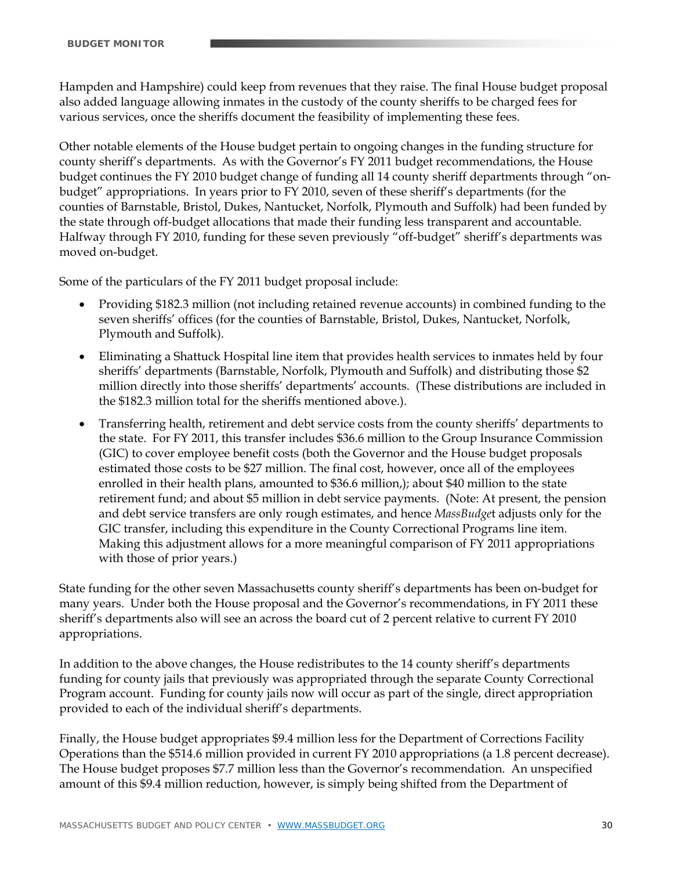Hampden and Hampshire) could keep from revenues that they raise. The final House budget proposal also added language allowing inmates in the custody of the county sheriffs to be charged fees for various services, once the sheriffs document the feasibility of implementing these fees.

Other notable elements of the House budget pertain to ongoing changes in the funding structure for county sheriff's departments. As with the Governor's FY 2011 budget recommendations, the House budget continues the FY 2010 budget change of funding all 14 county sheriff departments through "onbudget" appropriations. In years prior to FY 2010, seven of these sheriff's departments (for the counties of Barnstable, Bristol, Dukes, Nantucket, Norfolk, Plymouth and Suffolk) had been funded by the state through off-budget allocations that made their funding less transparent and accountable. Halfway through FY 2010, funding for these seven previously "off-budget" sheriff's departments was moved on-budget.

Some of the particulars of the FY 2011 budget proposal include:

- Providing \$182.3 million (not including retained revenue accounts) in combined funding to the seven sheriffs' offices (for the counties of Barnstable, Bristol, Dukes, Nantucket, Norfolk, Plymouth and Suffolk).
- Eliminating a Shattuck Hospital line item that provides health services to inmates held by four sheriffs' departments (Barnstable, Norfolk, Plymouth and Suffolk) and distributing those \$2 million directly into those sheriffs' departments' accounts. (These distributions are included in the \$182.3 million total for the sheriffs mentioned above.).
- Transferring health, retirement and debt service costs from the county sheriffs' departments to the state. For FY 2011, this transfer includes \$36.6 million to the Group Insurance Commission (GIC) to cover employee benefit costs (both the Governor and the House budget proposals estimated those costs to be \$27 million. The final cost, however, once all of the employees enrolled in their health plans, amounted to \$36.6 million,); about \$40 million to the state retirement fund; and about \$5 million in debt service payments. (Note: At present, the pension and debt service transfers are only rough estimates, and hence *MassBudge*t adjusts only for the GIC transfer, including this expenditure in the County Correctional Programs line item. Making this adjustment allows for a more meaningful comparison of FY 2011 appropriations with those of prior years.)

State funding for the other seven Massachusetts county sheriff's departments has been on-budget for many years. Under both the House proposal and the Governor's recommendations, in FY 2011 these sheriff's departments also will see an across the board cut of 2 percent relative to current FY 2010 appropriations.

In addition to the above changes, the House redistributes to the 14 county sheriff's departments funding for county jails that previously was appropriated through the separate County Correctional Program account. Funding for county jails now will occur as part of the single, direct appropriation provided to each of the individual sheriff's departments.

Finally, the House budget appropriates \$9.4 million less for the Department of Corrections Facility Operations than the \$514.6 million provided in current FY 2010 appropriations (a 1.8 percent decrease). The House budget proposes \$7.7 million less than the Governor's recommendation. An unspecified amount of this \$9.4 million reduction, however, is simply being shifted from the Department of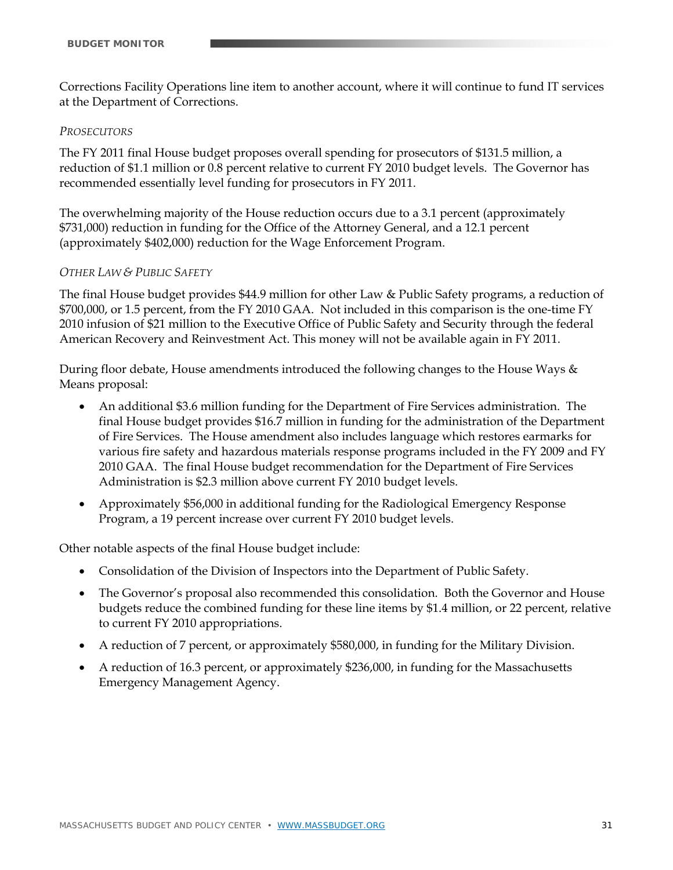Corrections Facility Operations line item to another account, where it will continue to fund IT services at the Department of Corrections.

#### *PROSECUTORS*

The FY 2011 final House budget proposes overall spending for prosecutors of \$131.5 million, a reduction of \$1.1 million or 0.8 percent relative to current FY 2010 budget levels. The Governor has recommended essentially level funding for prosecutors in FY 2011.

The overwhelming majority of the House reduction occurs due to a 3.1 percent (approximately \$731,000) reduction in funding for the Office of the Attorney General, and a 12.1 percent (approximately \$402,000) reduction for the Wage Enforcement Program.

#### *OTHER LAW & PUBLIC SAFETY*

The final House budget provides \$44.9 million for other Law & Public Safety programs, a reduction of \$700,000, or 1.5 percent, from the FY 2010 GAA. Not included in this comparison is the one-time FY 2010 infusion of \$21 million to the Executive Office of Public Safety and Security through the federal American Recovery and Reinvestment Act. This money will not be available again in FY 2011.

During floor debate, House amendments introduced the following changes to the House Ways & Means proposal:

- An additional \$3.6 million funding for the Department of Fire Services administration. The final House budget provides \$16.7 million in funding for the administration of the Department of Fire Services. The House amendment also includes language which restores earmarks for various fire safety and hazardous materials response programs included in the FY 2009 and FY 2010 GAA. The final House budget recommendation for the Department of Fire Services Administration is \$2.3 million above current FY 2010 budget levels.
- Approximately \$56,000 in additional funding for the Radiological Emergency Response Program, a 19 percent increase over current FY 2010 budget levels.

Other notable aspects of the final House budget include:

- Consolidation of the Division of Inspectors into the Department of Public Safety.
- The Governor's proposal also recommended this consolidation. Both the Governor and House budgets reduce the combined funding for these line items by \$1.4 million, or 22 percent, relative to current FY 2010 appropriations.
- A reduction of 7 percent, or approximately \$580,000, in funding for the Military Division.
- A reduction of 16.3 percent, or approximately \$236,000, in funding for the Massachusetts Emergency Management Agency.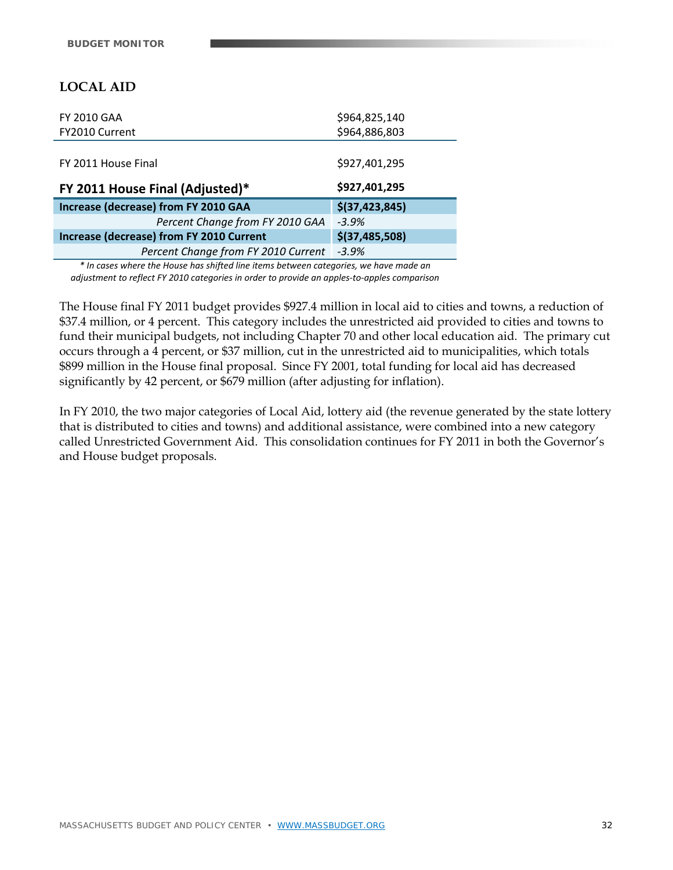# **LOCAL AID**

| <b>FY 2010 GAA</b>                              | \$964,825,140    |
|-------------------------------------------------|------------------|
| FY2010 Current                                  | \$964,886,803    |
|                                                 |                  |
| FY 2011 House Final                             | \$927,401,295    |
| FY 2011 House Final (Adjusted)*                 | \$927,401,295    |
|                                                 |                  |
| Increase (decrease) from FY 2010 GAA            | \$(37, 423, 845) |
| Percent Change from FY 2010 GAA                 | $-3.9%$          |
| <b>Increase (decrease) from FY 2010 Current</b> | \$(37, 485, 508) |
| Percent Change from FY 2010 Current             | $-3.9%$          |

*\* In cases where the House has shifted line items between categories, we have made an adjustment to reflect FY 2010 categories in order to provide an apples‐to‐apples comparison*

The House final FY 2011 budget provides \$927.4 million in local aid to cities and towns, a reduction of \$37.4 million, or 4 percent. This category includes the unrestricted aid provided to cities and towns to fund their municipal budgets, not including Chapter 70 and other local education aid. The primary cut occurs through a 4 percent, or \$37 million, cut in the unrestricted aid to municipalities, which totals \$899 million in the House final proposal. Since FY 2001, total funding for local aid has decreased significantly by 42 percent, or \$679 million (after adjusting for inflation).

In FY 2010, the two major categories of Local Aid, lottery aid (the revenue generated by the state lottery that is distributed to cities and towns) and additional assistance, were combined into a new category called Unrestricted Government Aid. This consolidation continues for FY 2011 in both the Governor's and House budget proposals.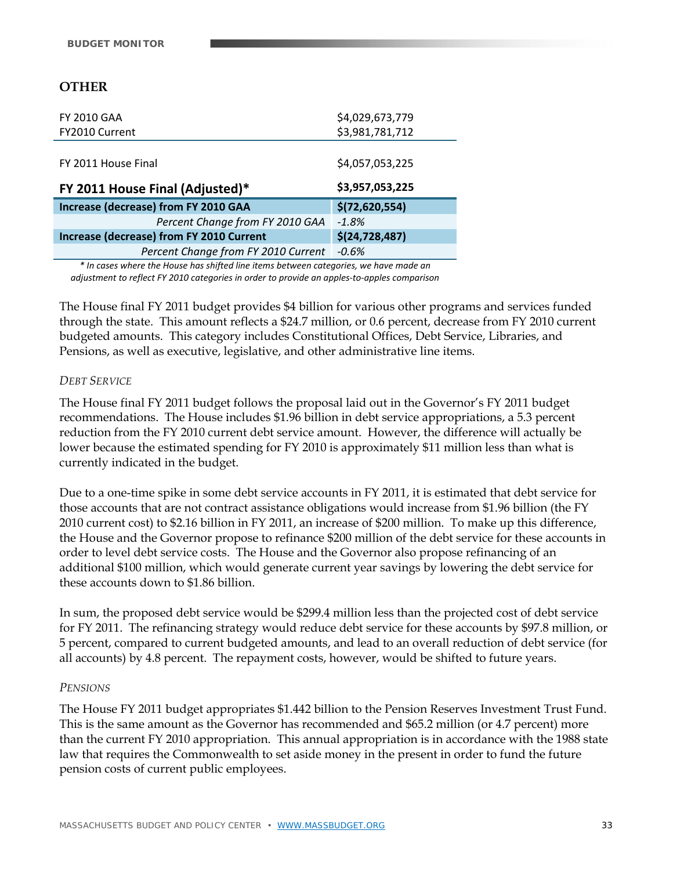# **OTHER**

| <b>FY 2010 GAA</b>                              | \$4,029,673,779  |
|-------------------------------------------------|------------------|
| FY2010 Current                                  | \$3,981,781,712  |
|                                                 |                  |
| FY 2011 House Final                             | \$4,057,053,225  |
| FY 2011 House Final (Adjusted)*                 | \$3,957,053,225  |
|                                                 |                  |
| Increase (decrease) from FY 2010 GAA            | \$(72,620,554)   |
| Percent Change from FY 2010 GAA                 | $-1.8%$          |
| <b>Increase (decrease) from FY 2010 Current</b> | \$(24, 728, 487) |
| Percent Change from FY 2010 Current             | $-0.6%$          |

*\* In cases where the House has shifted line items between categories, we have made an adjustment to reflect FY 2010 categories in order to provide an apples‐to‐apples comparison*

The House final FY 2011 budget provides \$4 billion for various other programs and services funded through the state. This amount reflects a \$24.7 million, or 0.6 percent, decrease from FY 2010 current budgeted amounts. This category includes Constitutional Offices, Debt Service, Libraries, and Pensions, as well as executive, legislative, and other administrative line items.

#### *DEBT SERVICE*

The House final FY 2011 budget follows the proposal laid out in the Governor's FY 2011 budget recommendations. The House includes \$1.96 billion in debt service appropriations, a 5.3 percent reduction from the FY 2010 current debt service amount. However, the difference will actually be lower because the estimated spending for FY 2010 is approximately \$11 million less than what is currently indicated in the budget.

Due to a one-time spike in some debt service accounts in FY 2011, it is estimated that debt service for those accounts that are not contract assistance obligations would increase from \$1.96 billion (the FY 2010 current cost) to \$2.16 billion in FY 2011, an increase of \$200 million. To make up this difference, the House and the Governor propose to refinance \$200 million of the debt service for these accounts in order to level debt service costs. The House and the Governor also propose refinancing of an additional \$100 million, which would generate current year savings by lowering the debt service for these accounts down to \$1.86 billion.

In sum, the proposed debt service would be \$299.4 million less than the projected cost of debt service for FY 2011. The refinancing strategy would reduce debt service for these accounts by \$97.8 million, or 5 percent, compared to current budgeted amounts, and lead to an overall reduction of debt service (for all accounts) by 4.8 percent. The repayment costs, however, would be shifted to future years.

#### *PENSIONS*

The House FY 2011 budget appropriates \$1.442 billion to the Pension Reserves Investment Trust Fund. This is the same amount as the Governor has recommended and \$65.2 million (or 4.7 percent) more than the current FY 2010 appropriation. This annual appropriation is in accordance with the 1988 state law that requires the Commonwealth to set aside money in the present in order to fund the future pension costs of current public employees.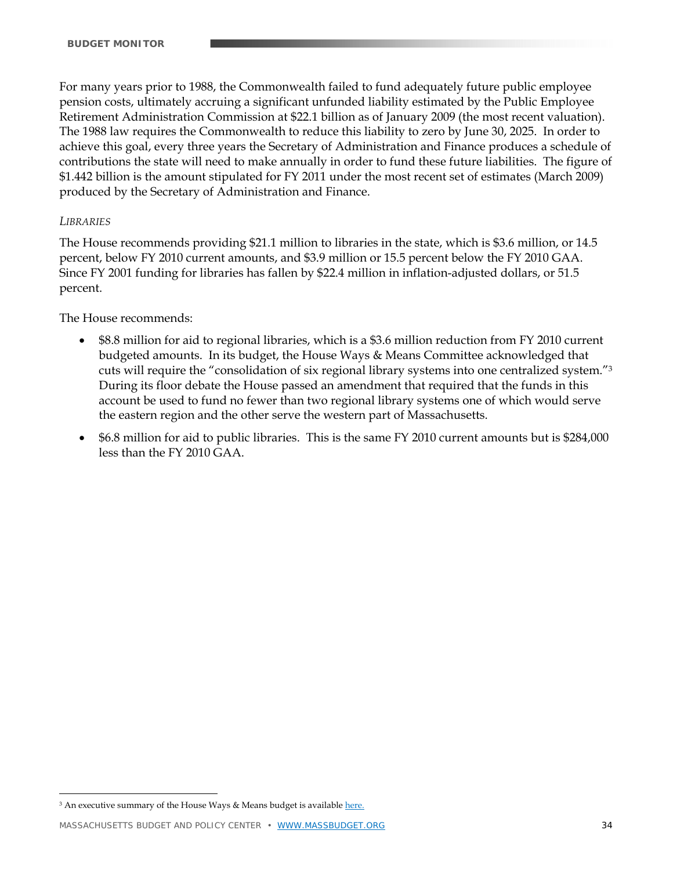For many years prior to 1988, the Commonwealth failed to fund adequately future public employee pension costs, ultimately accruing a significant unfunded liability estimated by the Public Employee Retirement Administration Commission at \$22.1 billion as of January 2009 (the most recent valuation). The 1988 law requires the Commonwealth to reduce this liability to zero by June 30, 2025. In order to achieve this goal, every three years the Secretary of Administration and Finance produces a schedule of contributions the state will need to make annually in order to fund these future liabilities. The figure of \$1.442 billion is the amount stipulated for FY 2011 under the most recent set of estimates (March 2009) produced by the Secretary of Administration and Finance.

#### *LIBRARIES*

 $\overline{a}$ 

The House recommends providing \$21.1 million to libraries in the state, which is \$3.6 million, or 14.5 percent, below FY 2010 current amounts, and \$3.9 million or 15.5 percent below the FY 2010 GAA. Since FY 2001 funding for libraries has fallen by \$22.4 million in inflation-adjusted dollars, or 51.5 percent.

The House recommends:

- \$8.8 million for aid to regional libraries, which is a \$3.6 million reduction from FY 2010 current budgeted amounts. In its budget, the House Ways & Means Committee acknowledged that cuts will require the "consolidation of six regional library systems into one centralized system."3 During its floor debate the House passed an amendment that required that the funds in this account be used to fund no fewer than two regional library systems one of which would serve the eastern region and the other serve the western part of Massachusetts.
- \$6.8 million for aid to public libraries. This is the same FY 2010 current amounts but is \$284,000 less than the FY 2010 GAA.

<sup>3</sup> An executive summary of the House Ways & Means budget is availabl[e here.](http://www.mass.gov/legis/11budget/house/html/wm_executivesummary.htm)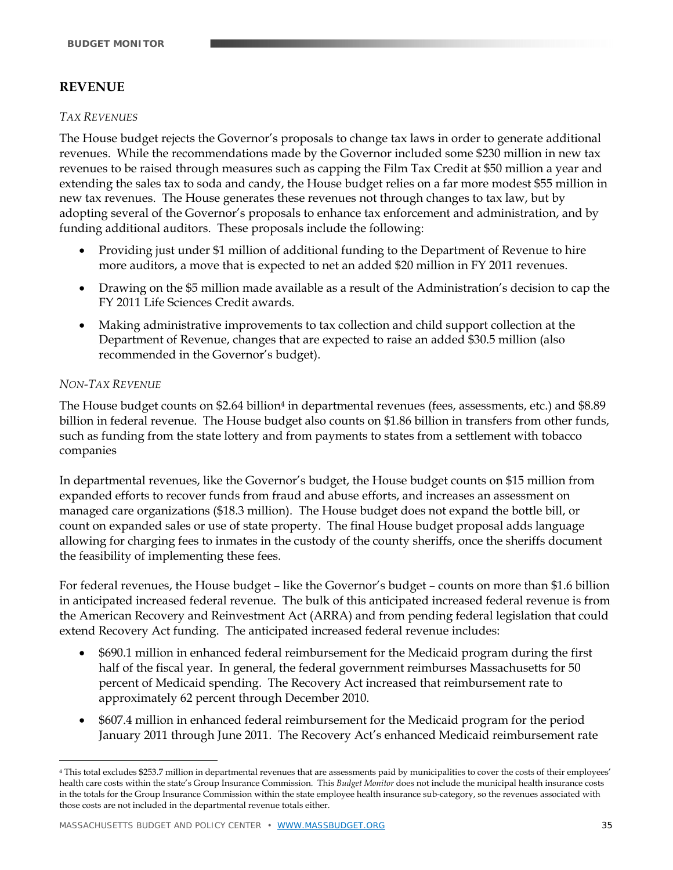# **REVENUE**

#### *TAX REVENUES*

The House budget rejects the Governor's proposals to change tax laws in order to generate additional revenues. While the recommendations made by the Governor included some \$230 million in new tax revenues to be raised through measures such as capping the Film Tax Credit at \$50 million a year and extending the sales tax to soda and candy, the House budget relies on a far more modest \$55 million in new tax revenues. The House generates these revenues not through changes to tax law, but by adopting several of the Governor's proposals to enhance tax enforcement and administration, and by funding additional auditors. These proposals include the following:

- Providing just under \$1 million of additional funding to the Department of Revenue to hire more auditors, a move that is expected to net an added \$20 million in FY 2011 revenues.
- Drawing on the \$5 million made available as a result of the Administration's decision to cap the FY 2011 Life Sciences Credit awards.
- Making administrative improvements to tax collection and child support collection at the Department of Revenue, changes that are expected to raise an added \$30.5 million (also recommended in the Governor's budget).

#### *NON-TAX REVENUE*

 $\overline{a}$ 

The House budget counts on \$2.64 billion<sup>4</sup> in departmental revenues (fees, assessments, etc.) and \$8.89 billion in federal revenue. The House budget also counts on \$1.86 billion in transfers from other funds, such as funding from the state lottery and from payments to states from a settlement with tobacco companies

In departmental revenues, like the Governor's budget, the House budget counts on \$15 million from expanded efforts to recover funds from fraud and abuse efforts, and increases an assessment on managed care organizations (\$18.3 million). The House budget does not expand the bottle bill, or count on expanded sales or use of state property. The final House budget proposal adds language allowing for charging fees to inmates in the custody of the county sheriffs, once the sheriffs document the feasibility of implementing these fees.

For federal revenues, the House budget – like the Governor's budget – counts on more than \$1.6 billion in anticipated increased federal revenue. The bulk of this anticipated increased federal revenue is from the American Recovery and Reinvestment Act (ARRA) and from pending federal legislation that could extend Recovery Act funding. The anticipated increased federal revenue includes:

- \$690.1 million in enhanced federal reimbursement for the Medicaid program during the first half of the fiscal year. In general, the federal government reimburses Massachusetts for 50 percent of Medicaid spending. The Recovery Act increased that reimbursement rate to approximately 62 percent through December 2010.
- \$607.4 million in enhanced federal reimbursement for the Medicaid program for the period January 2011 through June 2011. The Recovery Act's enhanced Medicaid reimbursement rate

<sup>4</sup> This total excludes \$253.7 million in departmental revenues that are assessments paid by municipalities to cover the costs of their employees' health care costs within the state's Group Insurance Commission. This *Budget Monitor* does not include the municipal health insurance costs in the totals for the Group Insurance Commission within the state employee health insurance sub-category, so the revenues associated with those costs are not included in the departmental revenue totals either.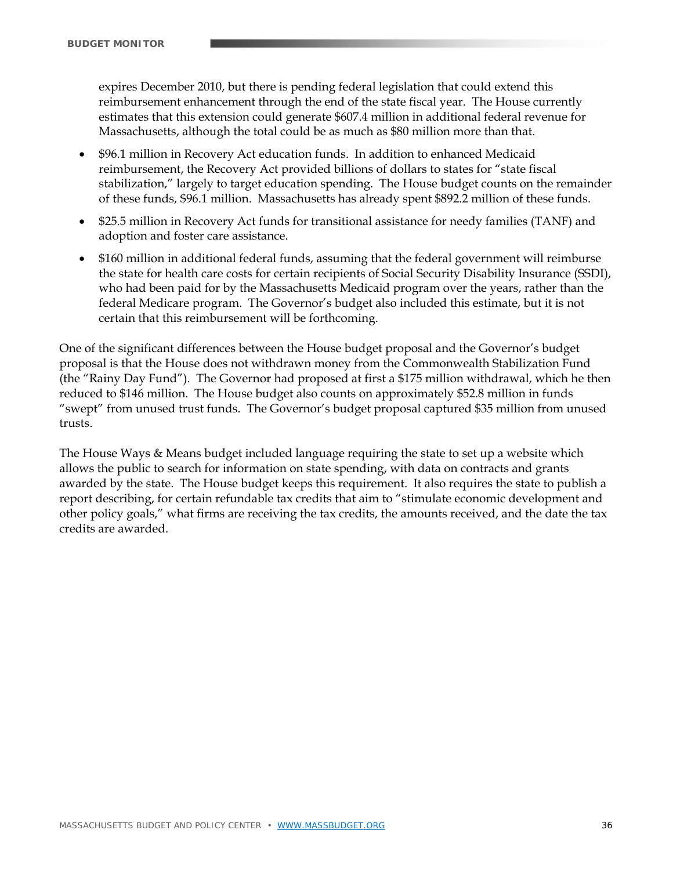expires December 2010, but there is pending federal legislation that could extend this reimbursement enhancement through the end of the state fiscal year. The House currently estimates that this extension could generate \$607.4 million in additional federal revenue for Massachusetts, although the total could be as much as \$80 million more than that.

- \$96.1 million in Recovery Act education funds. In addition to enhanced Medicaid reimbursement, the Recovery Act provided billions of dollars to states for "state fiscal stabilization," largely to target education spending. The House budget counts on the remainder of these funds, \$96.1 million. Massachusetts has already spent \$892.2 million of these funds.
- \$25.5 million in Recovery Act funds for transitional assistance for needy families (TANF) and adoption and foster care assistance.
- \$160 million in additional federal funds, assuming that the federal government will reimburse the state for health care costs for certain recipients of Social Security Disability Insurance (SSDI), who had been paid for by the Massachusetts Medicaid program over the years, rather than the federal Medicare program. The Governor's budget also included this estimate, but it is not certain that this reimbursement will be forthcoming.

One of the significant differences between the House budget proposal and the Governor's budget proposal is that the House does not withdrawn money from the Commonwealth Stabilization Fund (the "Rainy Day Fund"). The Governor had proposed at first a \$175 million withdrawal, which he then reduced to \$146 million. The House budget also counts on approximately \$52.8 million in funds "swept" from unused trust funds. The Governor's budget proposal captured \$35 million from unused trusts.

The House Ways & Means budget included language requiring the state to set up a website which allows the public to search for information on state spending, with data on contracts and grants awarded by the state. The House budget keeps this requirement. It also requires the state to publish a report describing, for certain refundable tax credits that aim to "stimulate economic development and other policy goals," what firms are receiving the tax credits, the amounts received, and the date the tax credits are awarded.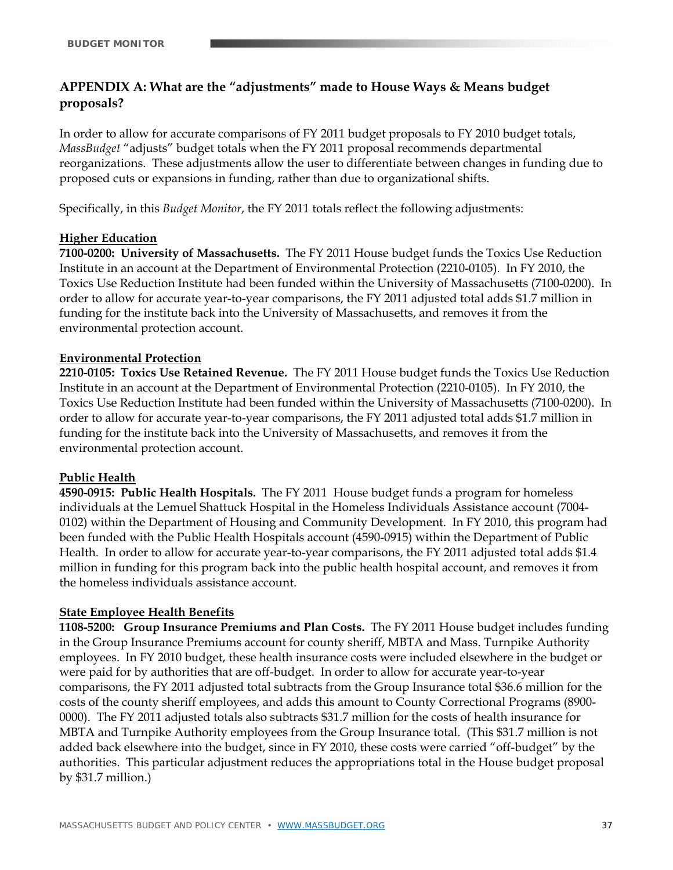# **APPENDIX A: What are the "adjustments" made to House Ways & Means budget proposals?**

In order to allow for accurate comparisons of FY 2011 budget proposals to FY 2010 budget totals, *MassBudget* "adjusts" budget totals when the FY 2011 proposal recommends departmental reorganizations. These adjustments allow the user to differentiate between changes in funding due to proposed cuts or expansions in funding, rather than due to organizational shifts.

Specifically, in this *Budget Monitor*, the FY 2011 totals reflect the following adjustments:

#### **Higher Education**

**7100-0200: University of Massachusetts.** The FY 2011 House budget funds the Toxics Use Reduction Institute in an account at the Department of Environmental Protection (2210-0105). In FY 2010, the Toxics Use Reduction Institute had been funded within the University of Massachusetts (7100-0200). In order to allow for accurate year-to-year comparisons, the FY 2011 adjusted total adds \$1.7 million in funding for the institute back into the University of Massachusetts, and removes it from the environmental protection account.

#### **Environmental Protection**

**2210-0105: Toxics Use Retained Revenue.** The FY 2011 House budget funds the Toxics Use Reduction Institute in an account at the Department of Environmental Protection (2210-0105). In FY 2010, the Toxics Use Reduction Institute had been funded within the University of Massachusetts (7100-0200). In order to allow for accurate year-to-year comparisons, the FY 2011 adjusted total adds \$1.7 million in funding for the institute back into the University of Massachusetts, and removes it from the environmental protection account.

#### **Public Health**

**4590-0915: Public Health Hospitals.** The FY 2011 House budget funds a program for homeless individuals at the Lemuel Shattuck Hospital in the Homeless Individuals Assistance account (7004- 0102) within the Department of Housing and Community Development. In FY 2010, this program had been funded with the Public Health Hospitals account (4590-0915) within the Department of Public Health. In order to allow for accurate year-to-year comparisons, the FY 2011 adjusted total adds \$1.4 million in funding for this program back into the public health hospital account, and removes it from the homeless individuals assistance account.

#### **State Employee Health Benefits**

**1108-5200: Group Insurance Premiums and Plan Costs.** The FY 2011 House budget includes funding in the Group Insurance Premiums account for county sheriff, MBTA and Mass. Turnpike Authority employees. In FY 2010 budget, these health insurance costs were included elsewhere in the budget or were paid for by authorities that are off-budget. In order to allow for accurate year-to-year comparisons, the FY 2011 adjusted total subtracts from the Group Insurance total \$36.6 million for the costs of the county sheriff employees, and adds this amount to County Correctional Programs (8900- 0000). The FY 2011 adjusted totals also subtracts \$31.7 million for the costs of health insurance for MBTA and Turnpike Authority employees from the Group Insurance total. (This \$31.7 million is not added back elsewhere into the budget, since in FY 2010, these costs were carried "off-budget" by the authorities. This particular adjustment reduces the appropriations total in the House budget proposal by \$31.7 million.)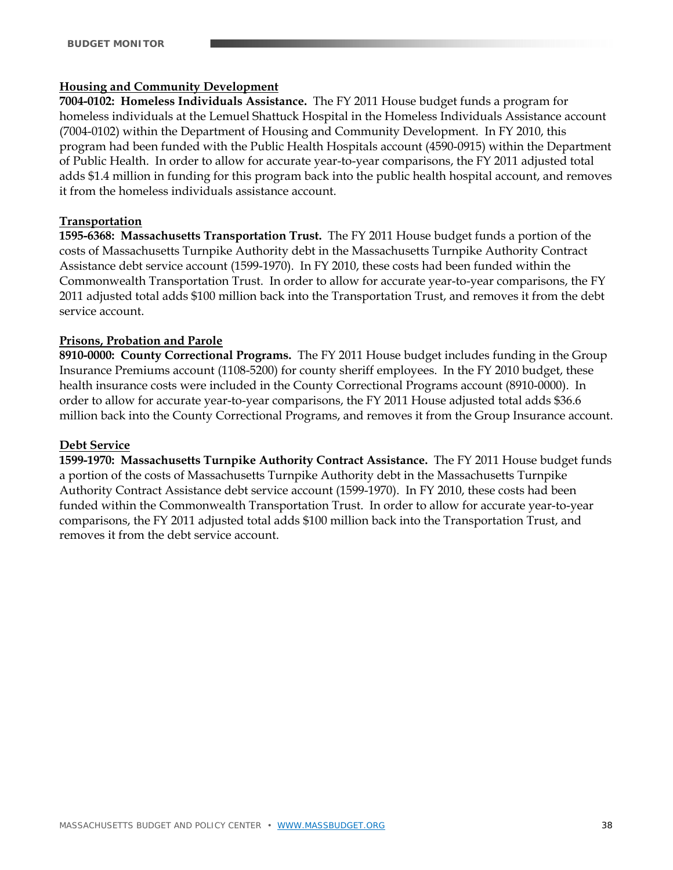#### **Housing and Community Development**

**7004-0102: Homeless Individuals Assistance.** The FY 2011 House budget funds a program for homeless individuals at the Lemuel Shattuck Hospital in the Homeless Individuals Assistance account (7004-0102) within the Department of Housing and Community Development. In FY 2010, this program had been funded with the Public Health Hospitals account (4590-0915) within the Department of Public Health. In order to allow for accurate year-to-year comparisons, the FY 2011 adjusted total adds \$1.4 million in funding for this program back into the public health hospital account, and removes it from the homeless individuals assistance account.

#### **Transportation**

**1595-6368: Massachusetts Transportation Trust.** The FY 2011 House budget funds a portion of the costs of Massachusetts Turnpike Authority debt in the Massachusetts Turnpike Authority Contract Assistance debt service account (1599-1970). In FY 2010, these costs had been funded within the Commonwealth Transportation Trust. In order to allow for accurate year-to-year comparisons, the FY 2011 adjusted total adds \$100 million back into the Transportation Trust, and removes it from the debt service account.

#### **Prisons, Probation and Parole**

**8910-0000: County Correctional Programs.** The FY 2011 House budget includes funding in the Group Insurance Premiums account (1108-5200) for county sheriff employees. In the FY 2010 budget, these health insurance costs were included in the County Correctional Programs account (8910-0000). In order to allow for accurate year-to-year comparisons, the FY 2011 House adjusted total adds \$36.6 million back into the County Correctional Programs, and removes it from the Group Insurance account.

#### **Debt Service**

**1599-1970: Massachusetts Turnpike Authority Contract Assistance.** The FY 2011 House budget funds a portion of the costs of Massachusetts Turnpike Authority debt in the Massachusetts Turnpike Authority Contract Assistance debt service account (1599-1970). In FY 2010, these costs had been funded within the Commonwealth Transportation Trust. In order to allow for accurate year-to-year comparisons, the FY 2011 adjusted total adds \$100 million back into the Transportation Trust, and removes it from the debt service account.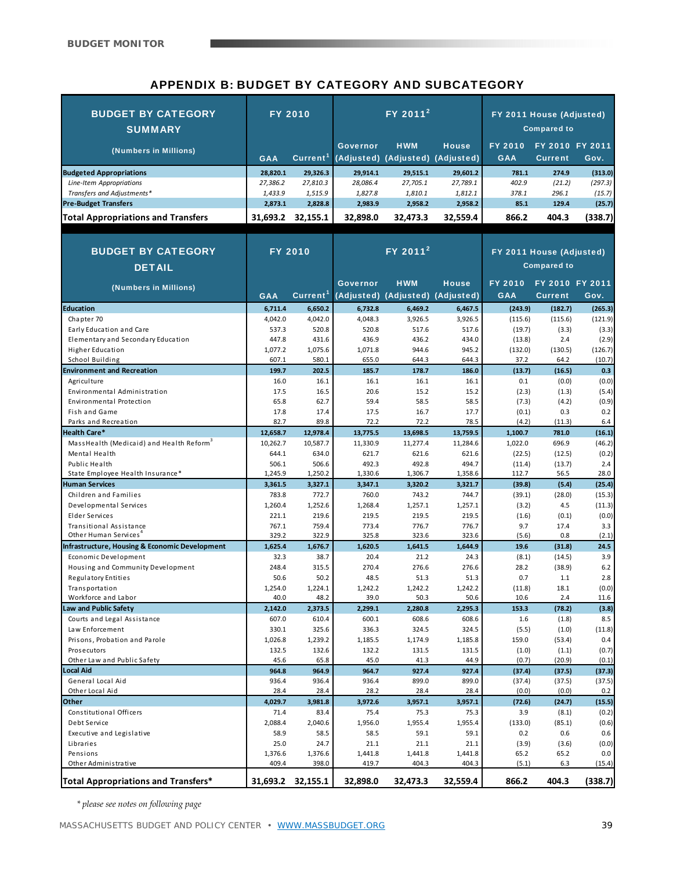# APPENDIX B: BUDGET BY CATEGORY AND SUBCATEGORY

| <b>BUDGET BY CATEGORY</b><br><b>SUMMARY</b>          |                      | <b>FY 2010</b>       | FY 2011 <sup>2</sup> |                      |                  | FY 2011 House (Adjusted)<br><b>Compared to</b> |                          |                |
|------------------------------------------------------|----------------------|----------------------|----------------------|----------------------|------------------|------------------------------------------------|--------------------------|----------------|
|                                                      |                      |                      | <b>Governor</b>      | <b>HWM</b>           | <b>House</b>     | <b>FY 2010</b>                                 | FY 2010 FY 2011          |                |
| (Numbers in Millions)                                | <b>GAA</b>           | Current <sup>1</sup> | (Adjusted)           | (Adjusted)           | (Adjusted)       | <b>GAA</b>                                     | <b>Current</b>           | Gov.           |
| <b>Budgeted Appropriations</b>                       | 28,820.1             | 29,326.3             | 29,914.1             | 29,515.1             | 29,601.2         | 781.1                                          | 274.9                    | (313.0)        |
| Line-Item Appropriations                             | 27,386.2             | 27,810.3             | 28,086.4             | 27,705.1             | 27,789.1         | 402.9                                          | (21.2)                   | (297.3)        |
| Transfers and Adjustments*                           | 1,433.9              | 1,515.9              | 1,827.8              | 1,810.1              | 1,812.1          | 378.1                                          | 296.1                    | (15.7)         |
| <b>Pre-Budget Transfers</b>                          | 2,873.1              | 2,828.8              | 2,983.9              | 2,958.2              | 2,958.2          | 85.1                                           | 129.4                    | (25.7)         |
| <b>Total Appropriations and Transfers</b>            | 31,693.2             | 32,155.1             | 32,898.0             | 32,473.3             | 32,559.4         | 866.2                                          | 404.3                    | (338.7)        |
|                                                      |                      |                      |                      |                      |                  |                                                |                          |                |
| <b>BUDGET BY CATEGORY</b>                            |                      | <b>FY 2010</b>       |                      | FY 2011 <sup>2</sup> |                  |                                                | FY 2011 House (Adjusted) |                |
| <b>DETAIL</b>                                        |                      |                      |                      |                      |                  |                                                | <b>Compared to</b>       |                |
|                                                      |                      |                      |                      |                      |                  |                                                |                          |                |
| (Numbers in Millions)                                |                      |                      | <b>Governor</b>      | <b>HWM</b>           | <b>House</b>     | <b>FY 2010</b>                                 | FY 2010 FY 2011          |                |
|                                                      | <b>GAA</b>           | Current <sup>1</sup> | (Adjusted)           | (Adjusted)           | (Adjusted)       | <b>GAA</b>                                     | <b>Current</b>           | Gov.           |
| <b>Education</b>                                     | 6,711.4              | 6,650.2              | 6,732.8              | 6,469.2              | 6,467.5          | (243.9)                                        | (182.7)                  | (265.3)        |
| Chapter 70<br>Early Education and Care               | 4,042.0<br>537.3     | 4,042.0<br>520.8     | 4,048.3<br>520.8     | 3,926.5              | 3,926.5<br>517.6 | (115.6)                                        | (115.6)                  | (121.9)        |
| Elementary and Secondary Education                   | 447.8                | 431.6                | 436.9                | 517.6<br>436.2       | 434.0            | (19.7)<br>(13.8)                               | (3.3)<br>2.4             | (3.3)<br>(2.9) |
| Higher Education                                     | 1.077.2              | 1,075.6              | 1,071.8              | 944.6                | 945.2            | (132.0)                                        | (130.5)                  | (126.7)        |
| School Building                                      | 607.1                | 580.1                | 655.0                | 644.3                | 644.3            | 37.2                                           | 64.2                     | (10.7)         |
| <b>Environment and Recreation</b>                    | 199.7                | 202.5                | 185.7                | 178.7                | 186.0            | (13.7)                                         | (16.5)                   | 0.3            |
| Agriculture                                          | 16.0                 | 16.1                 | 16.1                 | 16.1                 | 16.1             | 0.1                                            | (0.0)                    | (0.0)          |
| Environmental Administration                         | 17.5                 | 16.5                 | 20.6                 | 15.2                 | 15.2             | (2.3)                                          | (1.3)                    | (5.4)          |
| Environmental Protection                             | 65.8                 | 62.7                 | 59.4                 | 58.5                 | 58.5             | (7.3)                                          | (4.2)                    | (0.9)          |
| Fish and Game                                        | 17.8                 | 17.4                 | 17.5                 | 16.7                 | 17.7             | (0.1)                                          | 0.3                      | 0.2            |
| Parks and Recreation<br><b>Health Care*</b>          | 82.7                 | 89.8<br>12,978.4     | 72.2                 | 72.2                 | 78.5<br>13,759.5 | (4.2)                                          | (11.3)<br>781.0          | 6.4<br>(16.1)  |
| MassHealth (Medicaid) and Health Reform <sup>3</sup> | 12,658.7<br>10,262.7 | 10,587.7             | 13,775.5<br>11,330.9 | 13,698.5<br>11,277.4 | 11,284.6         | 1,100.7<br>1,022.0                             | 696.9                    | (46.2)         |
| Mental Health                                        | 644.1                | 634.0                | 621.7                | 621.6                | 621.6            | (22.5)                                         | (12.5)                   | (0.2)          |
| Public Health                                        | 506.1                | 506.6                | 492.3                | 492.8                | 494.7            | (11.4)                                         | (13.7)                   | 2.4            |
| State Employee Health Insurance*                     | 1,245.9              | 1,250.2              | 1,330.6              | 1,306.7              | 1,358.6          | 112.7                                          | 56.5                     | 28.0           |
| <b>Human Services</b>                                | 3,361.5              | 3,327.1              | 3,347.1              | 3,320.2              | 3,321.7          | (39.8)                                         | (5.4)                    | (25.4)         |
| Children and Families                                | 783.8                | 772.7                | 760.0                | 743.2                | 744.7            | (39.1)                                         | (28.0)                   | (15.3)         |
| Developmental Services                               | 1,260.4              | 1,252.6              | 1,268.4              | 1,257.1              | 1,257.1          | (3.2)                                          | 4.5                      | (11.3)         |
| Elder Services<br>Transitional Assistance            | 221.1<br>767.1       | 219.6<br>759.4       | 219.5<br>773.4       | 219.5<br>776.7       | 219.5<br>776.7   | (1.6)<br>9.7                                   | (0.1)<br>17.4            | (0.0)<br>3.3   |
| Other Human Services <sup>4</sup>                    | 329.2                | 322.9                | 325.8                | 323.6                | 323.6            | (5.6)                                          | 0.8                      | (2.1)          |
| Infrastructure, Housing & Economic Development       | 1,625.4              | 1,676.7              | 1,620.5              | 1,641.5              | 1,644.9          | 19.6                                           | (31.8)                   | 24.5           |
| Economic Development                                 | 32.3                 | 38.7                 | 20.4                 | 21.2                 | 24.3             | (8.1)                                          | (14.5)                   | 3.9            |
| Housing and Community Development                    | 248.4                | 315.5                | 270.4                | 276.6                | 276.6            | 28.2                                           | (38.9)                   | 6.2            |
| <b>Regulatory Entities</b>                           | 50.6                 | 50.2                 | 48.5                 | 51.3                 | 51.3             | 0.7                                            | 1.1                      | 2.8            |
| Transportation                                       | 1,254.0              | 1,224.1              | 1,242.2              | 1,242.2              | 1,242.2          | (11.8)                                         | 18.1                     | (0.0)          |
| Workforce and Labor                                  | 40.0                 | 48.2                 | 39.0                 | 50.3                 | 50.6             | 10.6                                           | 2.4                      | 11.6           |
| Law and Public Safety<br>Courts and Legal Assistance | 2,142.0<br>607.0     | 2,373.5<br>610.4     | 2,299.1<br>600.1     | 2,280.8<br>608.6     | 2,295.3<br>608.6 | 153.3<br>1.6                                   | (78.2)                   | (3.8)<br>8.5   |
| Law Enforcement                                      | 330.1                | 325.6                | 336.3                | 324.5                | 324.5            | (5.5)                                          | (1.8)<br>(1.0)           | (11.8)         |
| Prisons, Probation and Parole                        | 1,026.8              | 1,239.2              | 1,185.5              | 1,174.9              | 1,185.8          | 159.0                                          | (53.4)                   | 0.4            |
| Prosecutors                                          | 132.5                | 132.6                | 132.2                | 131.5                | 131.5            | (1.0)                                          | (1.1)                    | (0.7)          |
| Other Law and Public Safety                          | 45.6                 | 65.8                 | 45.0                 | 41.3                 | 44.9             | (0.7)                                          | (20.9)                   | (0.1)          |
| Local Aid                                            | 964.8                | 964.9                | 964.7                | 927.4                | 927.4            | (37.4)                                         | (37.5)                   | (37.3)         |
| General Local Aid                                    | 936.4                | 936.4                | 936.4                | 899.0                | 899.0            | (37.4)                                         | (37.5)                   | (37.5)         |
| Other Local Aid                                      | 28.4                 | 28.4                 | 28.2                 | 28.4                 | 28.4             | (0.0)                                          | (0.0)                    | 0.2            |
| Other                                                | 4,029.7              | 3,981.8              | 3,972.6              | 3,957.1              | 3,957.1          | (72.6)                                         | (24.7)                   | (15.5)         |
| Constitutional Officers<br>Debt Service              | 71.4<br>2,088.4      | 83.4<br>2,040.6      | 75.4<br>1,956.0      | 75.3<br>1,955.4      | 75.3<br>1,955.4  | 3.9<br>(133.0)                                 | (8.1)<br>(85.1)          | (0.2)<br>(0.6) |
| Executive and Legislative                            | 58.9                 | 58.5                 | 58.5                 | 59.1                 | 59.1             | 0.2                                            | 0.6                      | 0.6            |
| Libraries                                            | 25.0                 | 24.7                 | 21.1                 | 21.1                 | 21.1             | (3.9)                                          | (3.6)                    | (0.0)          |
| Pensions                                             | 1,376.6              | 1,376.6              | 1,441.8              | 1,441.8              | 1,441.8          | 65.2                                           | 65.2                     | 0.0            |
| Other Administrative                                 | 409.4                | 398.0                | 419.7                | 404.3                | 404.3            | (5.1)                                          | 6.3                      | (15.4)         |
| Total Appropriations and Transfers*                  |                      | 31,693.2 32,155.1    | 32,898.0             | 32,473.3             | 32,559.4         | 866.2                                          | 404.3                    | (338.7)        |

 *\* please see notes on following page*